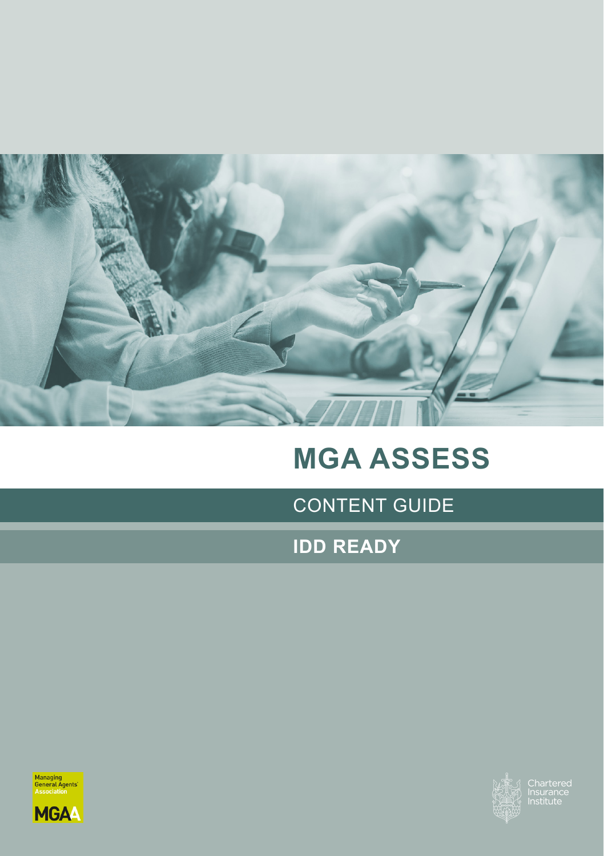

# **MGA ASSESS**

CONTENT GUIDE

**IDD READY**





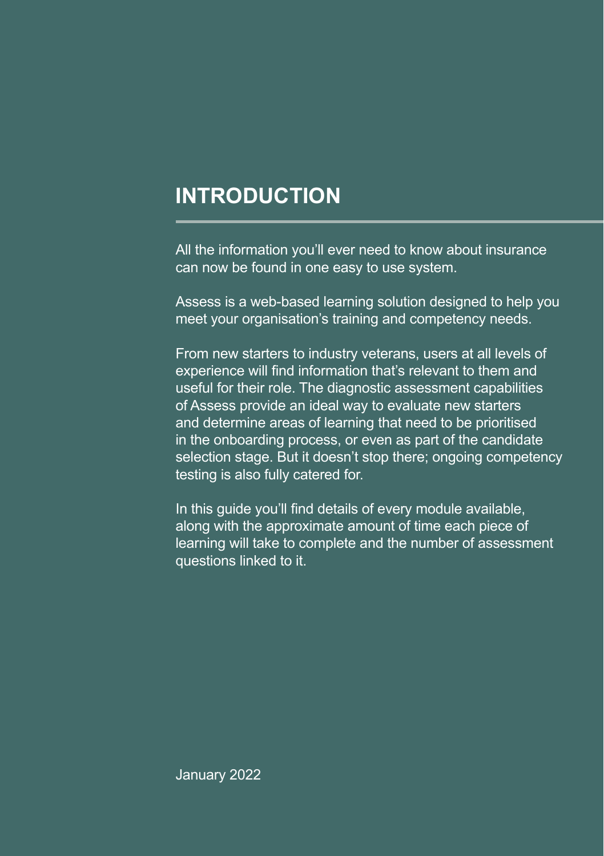#### **INTRODUCTION**

All the information you'll ever need to know about insurance can now be found in one easy to use system.

Assess is a web-based learning solution designed to help you meet your organisation's training and competency needs.

From new starters to industry veterans, users at all levels of experience will find information that's relevant to them and useful for their role. The diagnostic assessment capabilities of Assess provide an ideal way to evaluate new starters and determine areas of learning that need to be prioritised in the onboarding process, or even as part of the candidate selection stage. But it doesn't stop there; ongoing competency testing is also fully catered for.

In this guide you'll find details of every module available, along with the approximate amount of time each piece of learning will take to complete and the number of assessment questions linked to it.

**Assess** January 2022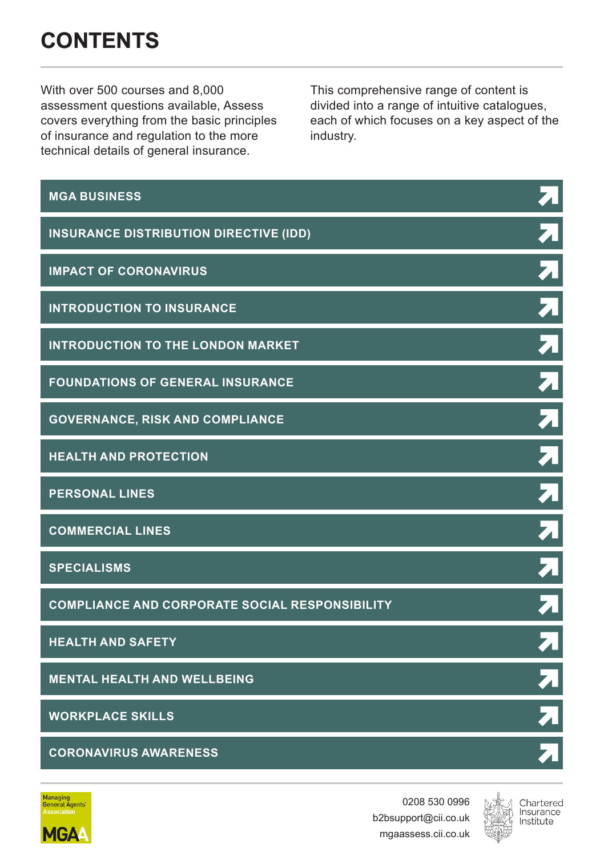## **CONTENTS**

With over 500 courses and 8,000 assessment questions available, Assess covers everything from the basic principles of insurance and regulation to the more technical details of general insurance.

This comprehensive range of content is divided into a range of intuitive catalogues, each of which focuses on a key aspect of the industry.

| <b>MGA BUSINESS</b>                                   | 7                                 |
|-------------------------------------------------------|-----------------------------------|
| <b>INSURANCE DISTRIBUTION DIRECTIVE (IDD)</b>         | $\overline{\mathbf{z}}$           |
| <b>IMPACT OF CORONAVIRUS</b>                          | $\overline{\boldsymbol{\lambda}}$ |
| <b>INTRODUCTION TO INSURANCE</b>                      | $\overline{\lambda}$              |
| <b>INTRODUCTION TO THE LONDON MARKET</b>              | $\overline{\lambda}$              |
| <b>FOUNDATIONS OF GENERAL INSURANCE</b>               | $\overline{\lambda}$              |
| <b>GOVERNANCE, RISK AND COMPLIANCE</b>                | $\overline{\blacktriangleleft}$   |
| <b>HEALTH AND PROTECTION</b>                          | $\bf z$                           |
| <b>PERSONAL LINES</b>                                 | 7                                 |
| <b>COMMERCIAL LINES</b>                               | $\overline{\lambda}$              |
| <b>SPECIALISMS</b>                                    | $\overline{\lambda}$              |
| <b>COMPLIANCE AND CORPORATE SOCIAL RESPONSIBILITY</b> | 7                                 |
| <b>HEALTH AND SAFETY</b>                              | $\overline{\lambda}$              |
| <b>MENTAL HEALTH AND WELLBEING</b>                    | $\bar{\mathbf{z}}$                |
| <b>WORKPLACE SKILLS</b>                               | $\overline{\bf 7}$                |
| <b>CORONAVIRUS AWARENESS</b>                          |                                   |



0208 530 0996 b2bsupport@cii.co.uk mgaassess.cii.co.uk

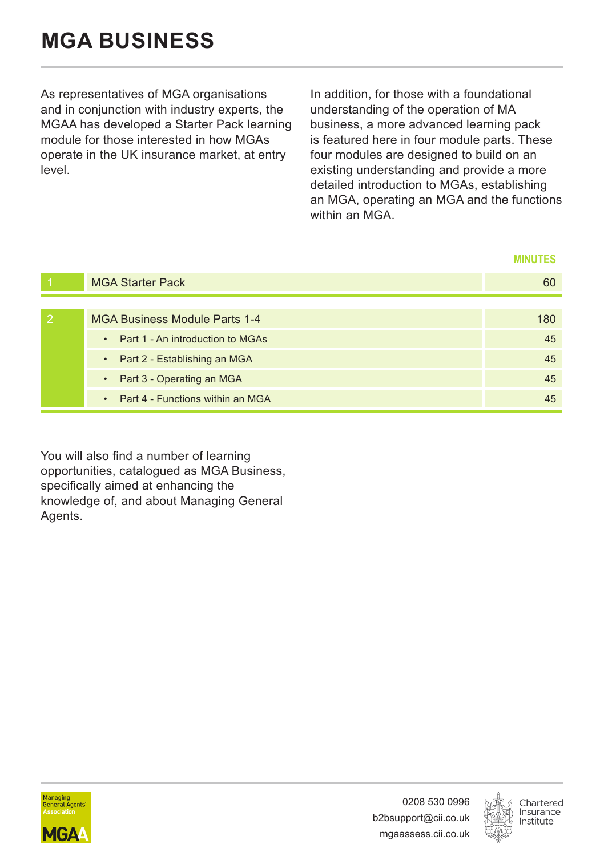<span id="page-3-0"></span>As representatives of MGA organisations and in conjunction with industry experts, the MGAA has developed a Starter Pack learning module for those interested in how MGAs operate in the UK insurance market, at entry level.

In addition, for those with a foundational understanding of the operation of MA business, a more advanced learning pack is featured here in four module parts. These four modules are designed to build on an existing understanding and provide a more detailed introduction to MGAs, establishing an MGA, operating an MGA and the functions within an MGA

#### **MINUTES**

| <b>MGA Starter Pack</b>            | 60  |
|------------------------------------|-----|
|                                    |     |
| MGA Business Module Parts 1-4      | 180 |
| • Part 1 - An introduction to MGAs | 45  |
| • Part 2 - Establishing an MGA     | 45  |
| • Part 3 - Operating an MGA        | 45  |
| • Part 4 - Functions within an MGA | 45  |

You will also find a number of learning opportunities, catalogued as MGA Business, specifically aimed at enhancing the knowledge of, and about Managing General Agents.



0208 530 0996 b2bsupport@cii.co.uk mgaassess.cii.co.uk

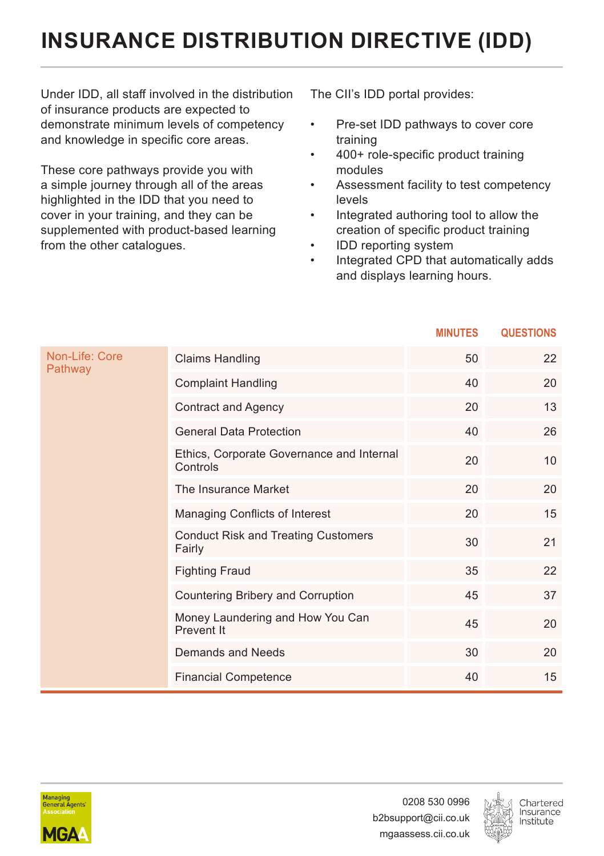# <span id="page-4-0"></span>**INSURANCE DISTRIBUTION DIRECTIVE (IDD)**

Under IDD, all staff involved in the distribution of insurance products are expected to demonstrate minimum levels of competency and knowledge in specific core areas.

These core pathways provide you with a simple journey through all of the areas highlighted in the IDD that you need to cover in your training, and they can be supplemented with product-based learning from the other catalogues.

The CII's IDD portal provides:

- Pre-set IDD pathways to cover core training
- 400+ role-specific product training modules
- Assessment facility to test competency levels
- Integrated authoring tool to allow the creation of specific product training
- IDD reporting system
- Integrated CPD that automatically adds and displays learning hours.

|                           |                                                       | <b>MINUTES</b> | <b>QUESTIONS</b> |
|---------------------------|-------------------------------------------------------|----------------|------------------|
| Non-Life: Core<br>Pathway | <b>Claims Handling</b>                                | 50             | 22               |
|                           | <b>Complaint Handling</b>                             | 40             | 20               |
|                           | <b>Contract and Agency</b>                            | 20             | 13               |
|                           | <b>General Data Protection</b>                        | 40             | 26               |
|                           | Ethics, Corporate Governance and Internal<br>Controls | 20             | 10               |
|                           | The Insurance Market                                  | 20             | 20               |
|                           | Managing Conflicts of Interest                        | 20             | 15               |
|                           | <b>Conduct Risk and Treating Customers</b><br>Fairly  | 30             | 21               |
|                           | <b>Fighting Fraud</b>                                 | 35             | 22               |
|                           | Countering Bribery and Corruption                     | 45             | 37               |
|                           | Money Laundering and How You Can<br>Prevent It        | 45             | 20               |
|                           | Demands and Needs                                     | 30             | 20               |
|                           | <b>Financial Competence</b>                           | 40             | 15               |



0208 530 0996 b2bsupport@cii.co.uk mgaassess.cii.co.uk

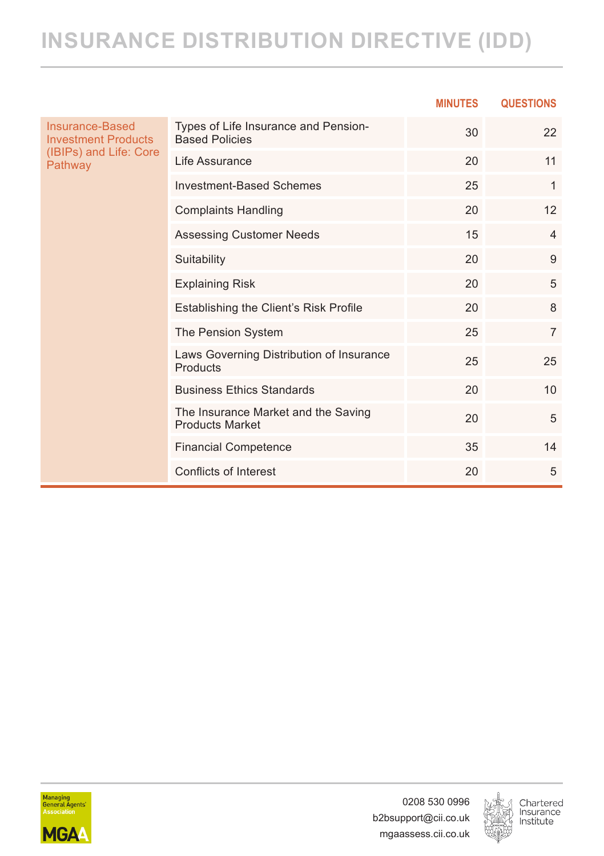## **INSURANCE DISTRIBUTION DIRECTIVE (IDD)**

|                                               |                                                               | <b>MINUTES</b> | <b>QUESTIONS</b> |
|-----------------------------------------------|---------------------------------------------------------------|----------------|------------------|
| Insurance-Based<br><b>Investment Products</b> | Types of Life Insurance and Pension-<br><b>Based Policies</b> | 30             | 22               |
| (IBIPs) and Life: Core<br>Pathway             | Life Assurance                                                | 20             | 11               |
|                                               | <b>Investment-Based Schemes</b>                               | 25             | 1                |
|                                               | <b>Complaints Handling</b>                                    | 20             | 12               |
|                                               | <b>Assessing Customer Needs</b>                               | 15             | 4                |
|                                               | Suitability                                                   | 20             | 9                |
|                                               | <b>Explaining Risk</b>                                        | 20             | 5                |
|                                               | Establishing the Client's Risk Profile                        | 20             | 8                |
|                                               | The Pension System                                            | 25             | $\overline{7}$   |
|                                               | Laws Governing Distribution of Insurance<br>Products          | 25             | 25               |
|                                               | <b>Business Ethics Standards</b>                              | 20             | 10               |
|                                               | The Insurance Market and the Saving<br><b>Products Market</b> | 20             | 5                |
|                                               | <b>Financial Competence</b>                                   | 35             | 14               |
|                                               | Conflicts of Interest                                         | 20             | 5                |



0208 530 0996 b2bsupport@cii.co.uk mgaassess.cii.co.uk

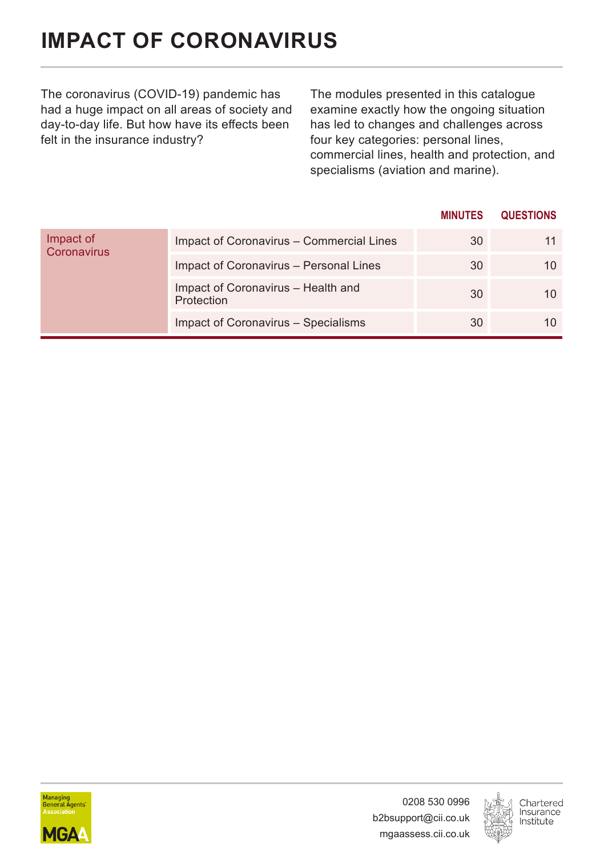# <span id="page-6-0"></span>**IMPACT OF CORONAVIRUS**

The coronavirus (COVID-19) pandemic has had a huge impact on all areas of society and day-to-day life. But how have its effects been felt in the insurance industry?

The modules presented in this catalogue examine exactly how the ongoing situation has led to changes and challenges across four key categories: personal lines. commercial lines, health and protection, and specialisms (aviation and marine).

|                          |                                                  | <b>MINUTES</b> | <b>QUESTIONS</b> |
|--------------------------|--------------------------------------------------|----------------|------------------|
| Impact of<br>Coronavirus | Impact of Coronavirus - Commercial Lines         | 30             | 11               |
|                          | Impact of Coronavirus - Personal Lines           | 30             | 10               |
|                          | Impact of Coronavirus - Health and<br>Protection | 30             | 10               |
|                          | Impact of Coronavirus - Specialisms              | 30             | 10               |



0208 530 0996 b2bsupport@cii.co.uk mgaassess.cii.co.uk

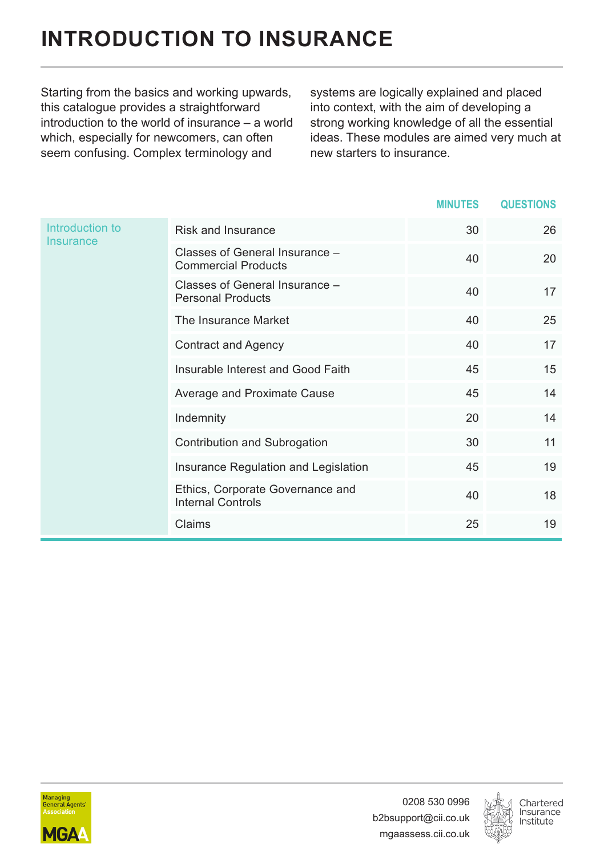## <span id="page-7-0"></span>**INTRODUCTION TO INSURANCE**

Starting from the basics and working upwards, this catalogue provides a straightforward introduction to the world of insurance – a world which, especially for newcomers, can often seem confusing. Complex terminology and

systems are logically explained and placed into context, with the aim of developing a strong working knowledge of all the essential ideas. These modules are aimed very much at new starters to insurance.

|                              |                                                              | <b>MINUTES</b> | <b>QUESTIONS</b> |
|------------------------------|--------------------------------------------------------------|----------------|------------------|
| Introduction to<br>Insurance | Risk and Insurance                                           | 30             | 26               |
|                              | Classes of General Insurance -<br><b>Commercial Products</b> | 40             | 20               |
|                              | Classes of General Insurance -<br><b>Personal Products</b>   | 40             | 17               |
|                              | The Insurance Market                                         | 40             | 25               |
|                              | Contract and Agency                                          | 40             | 17               |
|                              | Insurable Interest and Good Faith                            | 45             | 15               |
|                              | Average and Proximate Cause                                  | 45             | 14               |
|                              | Indemnity                                                    | 20             | 14               |
|                              | Contribution and Subrogation                                 | 30             | 11               |
|                              | Insurance Regulation and Legislation                         | 45             | 19               |
|                              | Ethics, Corporate Governance and<br><b>Internal Controls</b> | 40             | 18               |
|                              | Claims                                                       | 25             | 19               |



0208 530 0996 b2bsupport@cii.co.uk mgaassess.cii.co.uk

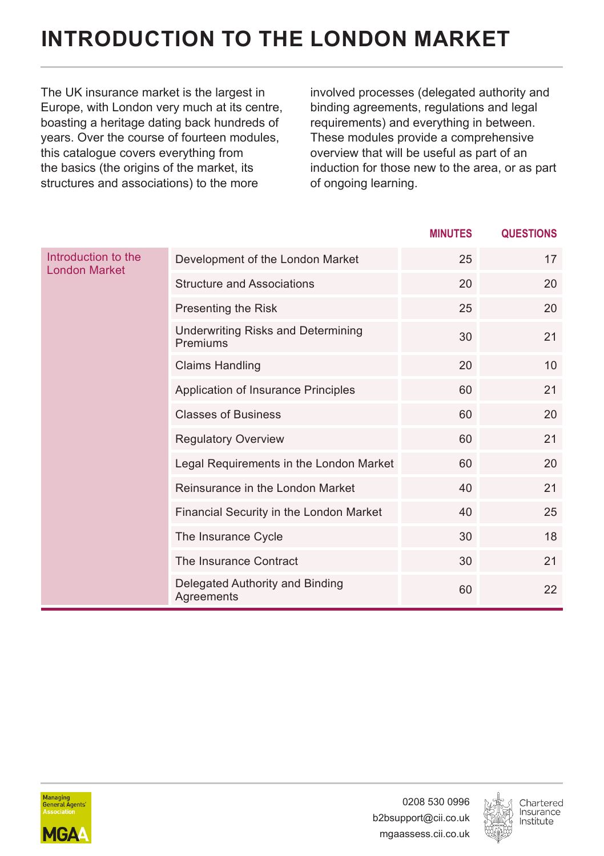## <span id="page-8-0"></span>**INTRODUCTION TO THE LONDON MARKET**

The UK insurance market is the largest in Europe, with London very much at its centre, boasting a heritage dating back hundreds of years. Over the course of fourteen modules, this catalogue covers everything from the basics (the origins of the market, its structures and associations) to the more

involved processes (delegated authority and binding agreements, regulations and legal requirements) and everything in between. These modules provide a comprehensive overview that will be useful as part of an induction for those new to the area, or as part of ongoing learning.

|                                             |                                                | <b>MINUTES</b> | <b>QUESTIONS</b> |
|---------------------------------------------|------------------------------------------------|----------------|------------------|
| Introduction to the<br><b>London Market</b> | Development of the London Market               | 25             | 17               |
|                                             | <b>Structure and Associations</b>              | 20             | 20               |
|                                             | Presenting the Risk                            | 25             | 20               |
|                                             | Underwriting Risks and Determining<br>Premiums | 30             | 21               |
|                                             | <b>Claims Handling</b>                         | 20             | 10               |
|                                             | Application of Insurance Principles            | 60             | 21               |
|                                             | <b>Classes of Business</b>                     | 60             | 20               |
|                                             | <b>Regulatory Overview</b>                     | 60             | 21               |
|                                             | Legal Requirements in the London Market        | 60             | 20               |
|                                             | Reinsurance in the London Market               | 40             | 21               |
|                                             | Financial Security in the London Market        | 40             | 25               |
|                                             | The Insurance Cycle                            | 30             | 18               |
|                                             | The Insurance Contract                         | 30             | 21               |
|                                             | Delegated Authority and Binding<br>Agreements  | 60             | 22               |



0208 530 0996 b2bsupport@cii.co.uk mgaassess.cii.co.uk

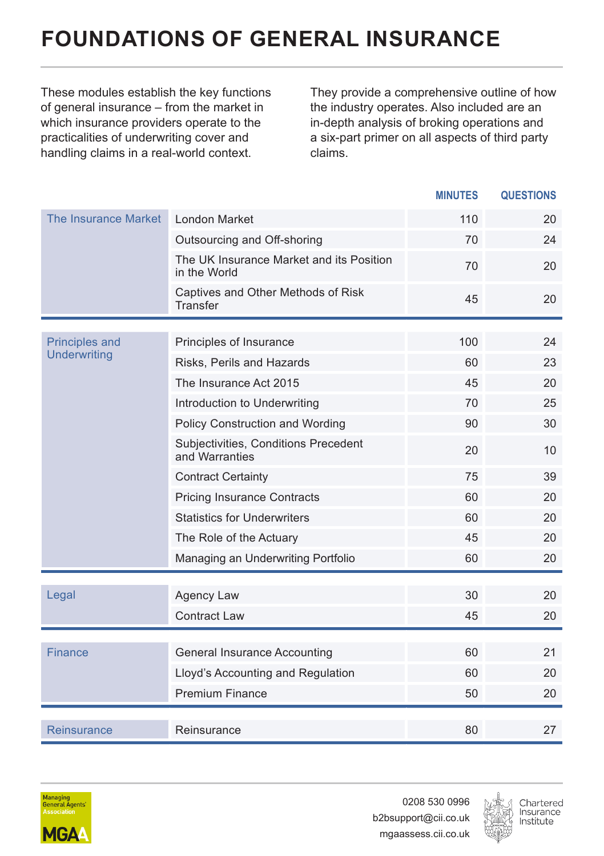## <span id="page-9-0"></span>**FOUNDATIONS OF GENERAL INSURANCE**

These modules establish the key functions of general insurance – from the market in which insurance providers operate to the practicalities of underwriting cover and handling claims in a real-world context.

They provide a comprehensive outline of how the industry operates. Also included are an in-depth analysis of broking operations and a six-part primer on all aspects of third party claims.

|                                              |                                                          | <b>MINUTES</b> | <b>QUESTIONS</b> |
|----------------------------------------------|----------------------------------------------------------|----------------|------------------|
| The Insurance Market                         | London Market                                            | 110            | 20               |
|                                              | Outsourcing and Off-shoring                              | 70             | 24               |
|                                              | The UK Insurance Market and its Position<br>in the World | 70             | 20               |
|                                              | Captives and Other Methods of Risk<br>Transfer           | 45             | 20               |
|                                              |                                                          |                |                  |
| <b>Principles and</b><br><b>Underwriting</b> | Principles of Insurance                                  | 100            | 24               |
|                                              | Risks, Perils and Hazards                                | 60             | 23               |
|                                              | The Insurance Act 2015                                   | 45             | 20               |
|                                              | Introduction to Underwriting                             | 70             | 25               |
|                                              | Policy Construction and Wording                          | 90             | 30               |
|                                              | Subjectivities, Conditions Precedent<br>and Warranties   | 20             | 10               |
|                                              | <b>Contract Certainty</b>                                | 75             | 39               |
|                                              | <b>Pricing Insurance Contracts</b>                       | 60             | 20               |
|                                              | <b>Statistics for Underwriters</b>                       | 60             | 20               |
|                                              | The Role of the Actuary                                  | 45             | 20               |
|                                              | Managing an Underwriting Portfolio                       | 60             | 20               |
|                                              |                                                          |                |                  |
| Legal                                        | Agency Law                                               | 30             | 20               |
|                                              | <b>Contract Law</b>                                      | 45             | 20               |
|                                              |                                                          |                |                  |
| Finance                                      | General Insurance Accounting                             | 60             | 21               |
|                                              | Lloyd's Accounting and Regulation                        | 60             | 20               |
|                                              | <b>Premium Finance</b>                                   | 50             | 20               |
| Reinsurance                                  | Reinsurance                                              | 80             | 27               |
|                                              |                                                          |                |                  |



0208 530 0996 b2bsupport@cii.co.uk mgaassess.cii.co.uk

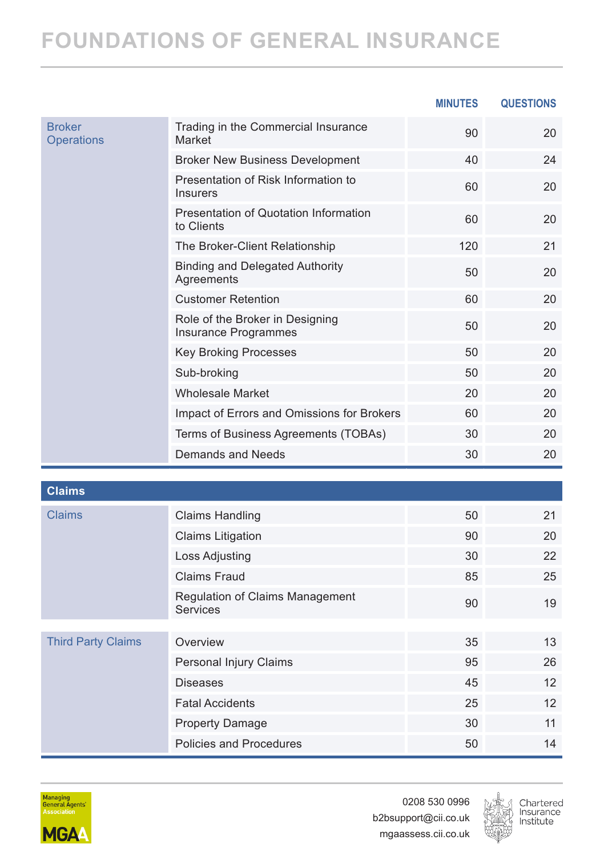#### **FOUNDATIONS OF GENERAL INSURANCE**

|                                    |                                                            | <b>MINUTES</b> | <b>QUESTIONS</b> |
|------------------------------------|------------------------------------------------------------|----------------|------------------|
| <b>Broker</b><br><b>Operations</b> | Trading in the Commercial Insurance<br>Market              | 90             | 20               |
|                                    | <b>Broker New Business Development</b>                     | 40             | 24               |
|                                    | Presentation of Risk Information to<br><b>Insurers</b>     | 60             | 20               |
|                                    | <b>Presentation of Quotation Information</b><br>to Clients | 60             | 20               |
|                                    | The Broker-Client Relationship                             | 120            | 21               |
|                                    | <b>Binding and Delegated Authority</b><br>Agreements       | 50             | 20               |
|                                    | <b>Customer Retention</b>                                  | 60             | 20               |
|                                    | Role of the Broker in Designing<br>Insurance Programmes    | 50             | 20               |
|                                    | <b>Key Broking Processes</b>                               | 50             | 20               |
|                                    | Sub-broking                                                | 50             | 20               |
|                                    | <b>Wholesale Market</b>                                    | 20             | 20               |
|                                    | Impact of Errors and Omissions for Brokers                 | 60             | 20               |
|                                    | Terms of Business Agreements (TOBAs)                       | 30             | 20               |
|                                    | Demands and Needs                                          | 30             | 20               |

| отаннэ                    |                                             |    |    |
|---------------------------|---------------------------------------------|----|----|
| <b>Claims</b>             | <b>Claims Handling</b>                      | 50 | 21 |
|                           | <b>Claims Litigation</b>                    | 90 | 20 |
|                           | Loss Adjusting                              | 30 | 22 |
|                           | Claims Fraud                                | 85 | 25 |
|                           | Regulation of Claims Management<br>Services | 90 | 19 |
|                           |                                             |    |    |
| <b>Third Party Claims</b> | Overview                                    | 35 | 13 |
|                           | Personal Injury Claims                      | 95 | 26 |
|                           | <b>Diseases</b>                             | 45 | 12 |
|                           | <b>Fatal Accidents</b>                      | 25 | 12 |
|                           | <b>Property Damage</b>                      | 30 | 11 |
|                           | Policies and Procedures                     | 50 | 14 |
|                           |                                             |    |    |



**Claims**

0208 530 0996 b2bsupport@cii.co.uk mgaassess.cii.co.uk

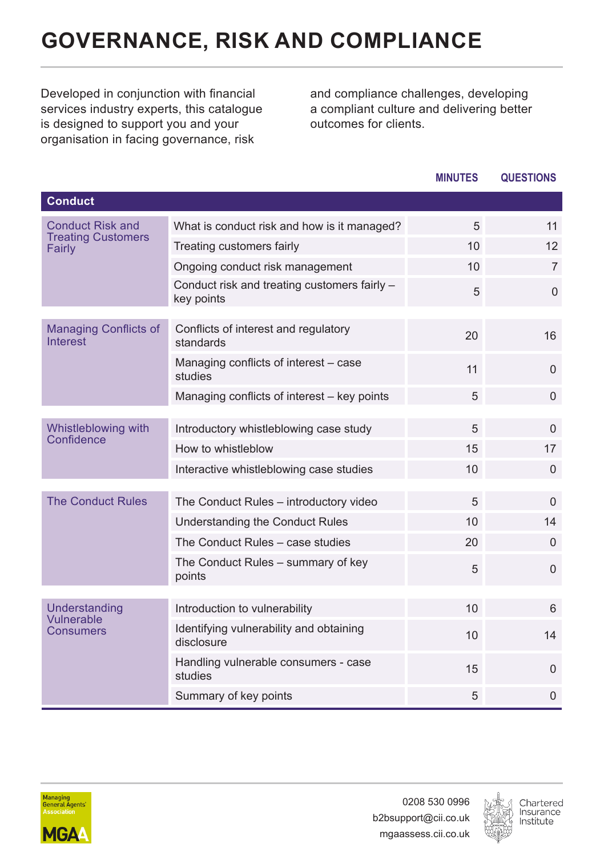## <span id="page-11-0"></span>**GOVERNANCE, RISK AND COMPLIANCE**

Developed in conjunction with financial services industry experts, this catalogue is designed to support you and your organisation in facing governance, risk

and compliance challenges, developing a compliant culture and delivering better outcomes for clients.

|                                          |                                                            | <b>MINUTES</b> | <b>QUESTIONS</b> |
|------------------------------------------|------------------------------------------------------------|----------------|------------------|
| <b>Conduct</b>                           |                                                            |                |                  |
| <b>Conduct Risk and</b>                  | What is conduct risk and how is it managed?                | 5              | 11               |
| <b>Treating Customers</b><br>Fairly      | Treating customers fairly                                  | 10             | 12               |
|                                          | Ongoing conduct risk management                            | 10             | $\overline{7}$   |
|                                          | Conduct risk and treating customers fairly -<br>key points | 5              | $\Omega$         |
| <b>Managing Conflicts of</b><br>Interest | Conflicts of interest and regulatory<br>standards          | 20             | 16               |
|                                          | Managing conflicts of interest - case<br>studies           | 11             | $\Omega$         |
|                                          | Managing conflicts of interest - key points                | 5              | $\Omega$         |
| Whistleblowing with                      | Introductory whistleblowing case study                     | 5              | $\Omega$         |
| Confidence                               | How to whistleblow                                         | 15             | 17               |
|                                          | Interactive whistleblowing case studies                    | 10             | $\Omega$         |
|                                          |                                                            |                |                  |
| <b>The Conduct Rules</b>                 | The Conduct Rules - introductory video                     | 5              | $\Omega$         |
|                                          | Understanding the Conduct Rules                            | 10             | 14               |
|                                          | The Conduct Rules - case studies                           | 20             | $\Omega$         |
|                                          | The Conduct Rules – summary of key<br>points               | 5              | $\Omega$         |
|                                          |                                                            |                |                  |
| Understanding<br>Vulnerable              | Introduction to vulnerability                              | 10             | 6                |
| Consumers                                | Identifying vulnerability and obtaining<br>disclosure      | 10             | 14               |
|                                          | Handling vulnerable consumers - case<br>studies            | 15             | $\Omega$         |
|                                          | Summary of key points                                      | 5              | $\mathbf 0$      |



0208 530 0996 b2bsupport@cii.co.uk mgaassess.cii.co.uk

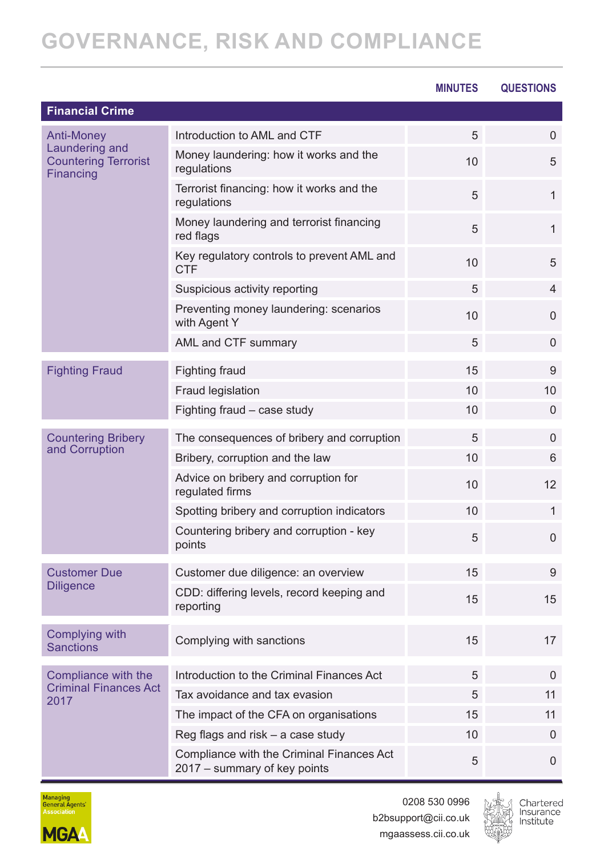## **GOVERNANCE, RISK AND COMPLIANCE**

|                                                            |                                                                           | <b>MINUTES</b> | <b>QUESTIONS</b> |
|------------------------------------------------------------|---------------------------------------------------------------------------|----------------|------------------|
| <b>Financial Crime</b>                                     |                                                                           |                |                  |
| Anti-Money                                                 | Introduction to AML and CTF                                               | 5              | $\mathbf{0}$     |
| Laundering and<br><b>Countering Terrorist</b><br>Financing | Money laundering: how it works and the<br>regulations                     | 10             | 5                |
|                                                            | Terrorist financing: how it works and the<br>regulations                  | 5              | $\mathbf{1}$     |
|                                                            | Money laundering and terrorist financing<br>red flags                     | 5              | $\mathbf{1}$     |
|                                                            | Key regulatory controls to prevent AML and<br>CTF                         | 10             | 5                |
|                                                            | Suspicious activity reporting                                             | 5              | $\overline{4}$   |
|                                                            | Preventing money laundering: scenarios<br>with Agent Y                    | 10             | $\Omega$         |
|                                                            | AML and CTF summary                                                       | 5              | $\mathbf{0}$     |
| <b>Fighting Fraud</b>                                      | Fighting fraud                                                            | 15             | 9                |
|                                                            | Fraud legislation                                                         | 10             | 10               |
|                                                            | Fighting fraud - case study                                               | 10             | $\Omega$         |
| <b>Countering Bribery</b>                                  | The consequences of bribery and corruption                                | 5              | $\mathbf{0}$     |
| and Corruption                                             | Bribery, corruption and the law                                           | 10             | 6                |
|                                                            | Advice on bribery and corruption for<br>regulated firms                   | 10             | 12               |
|                                                            | Spotting bribery and corruption indicators                                | 10             | $\mathbf{1}$     |
|                                                            | Countering bribery and corruption - key<br>points                         | 5              | $\mathbf{0}$     |
| <b>Customer Due</b>                                        | Customer due diligence: an overview                                       | 15             | 9                |
| <b>Diligence</b>                                           | CDD: differing levels, record keeping and<br>reporting                    | 15             | 15               |
| Complying with<br><b>Sanctions</b>                         | Complying with sanctions                                                  | 15             | 17               |
| Compliance with the                                        | Introduction to the Criminal Finances Act                                 | 5              | $\Omega$         |
| <b>Criminal Finances Act</b><br>2017                       | Tax avoidance and tax evasion                                             | 5              | 11               |
|                                                            | The impact of the CFA on organisations                                    | 15             | 11               |
|                                                            | Reg flags and risk $-$ a case study                                       | 10             | $\Omega$         |
|                                                            | Compliance with the Criminal Finances Act<br>2017 – summary of key points | 5              | $\overline{0}$   |



0208 530 0996 b2bsupport@cii.co.uk mgaassess.cii.co.uk

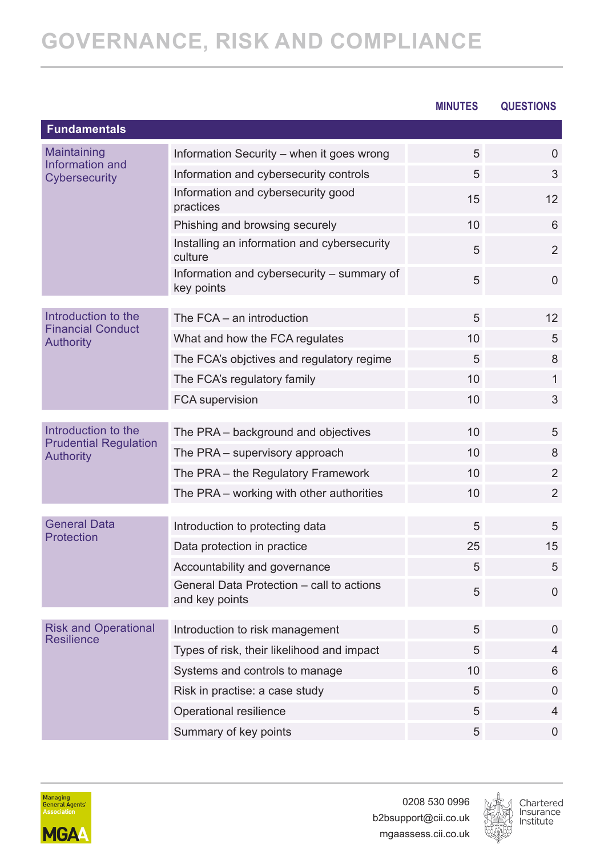|                                                  |                                                                            | <b>MINUTES</b> | QUESTIONS         |
|--------------------------------------------------|----------------------------------------------------------------------------|----------------|-------------------|
| <b>Fundamentals</b>                              |                                                                            |                |                   |
| Maintaining                                      | Information Security - when it goes wrong                                  | 5              | $\Omega$          |
| Information and<br>Cybersecurity                 | Information and cybersecurity controls                                     | 5              | 3                 |
|                                                  | Information and cybersecurity good<br>practices                            | 15             | 12                |
|                                                  | Phishing and browsing securely                                             | 10             | 6                 |
|                                                  | Installing an information and cybersecurity<br>culture                     | 5              | $\overline{2}$    |
|                                                  | Information and cybersecurity - summary of<br>key points                   | 5              | 0                 |
| Introduction to the                              | The FCA - an introduction                                                  | 5              | 12                |
| <b>Financial Conduct</b>                         |                                                                            |                |                   |
| <b>Authority</b>                                 | What and how the FCA regulates                                             | 10<br>5        | 5                 |
|                                                  | The FCA's objctives and regulatory regime                                  | 10             | 8<br>$\mathbf{1}$ |
|                                                  | The FCA's regulatory family                                                |                |                   |
|                                                  | FCA supervision                                                            | 10             | 3                 |
| Introduction to the                              | The PRA - background and objectives                                        | 10             | 5                 |
| <b>Prudential Regulation</b><br><b>Authority</b> | The PRA - supervisory approach                                             | 10             | 8                 |
|                                                  | The PRA - the Regulatory Framework                                         | 10             | 2                 |
|                                                  | The PRA – working with other authorities                                   | 10             | 2                 |
| <b>General Data</b>                              |                                                                            | 5              |                   |
| Protection                                       | Introduction to protecting data                                            |                | 5<br>15           |
|                                                  | Data protection in practice                                                | 25<br>5        | 5                 |
|                                                  | Accountability and governance<br>General Data Protection - call to actions |                |                   |
|                                                  | and key points                                                             | 5              | 0                 |
| <b>Risk and Operational</b>                      | Introduction to risk management                                            | 5              | $\Omega$          |
| <b>Resilience</b>                                | Types of risk, their likelihood and impact                                 | 5              | 4                 |
|                                                  | Systems and controls to manage                                             | 10             | 6                 |
|                                                  | Risk in practise: a case study                                             | 5              | $\Omega$          |
|                                                  | Operational resilience                                                     | 5              | 4                 |
|                                                  | Summary of key points                                                      | 5              | $\Omega$          |
|                                                  |                                                                            |                |                   |



0208 530 0996 b2bsupport@cii.co.uk mgaassess.cii.co.uk

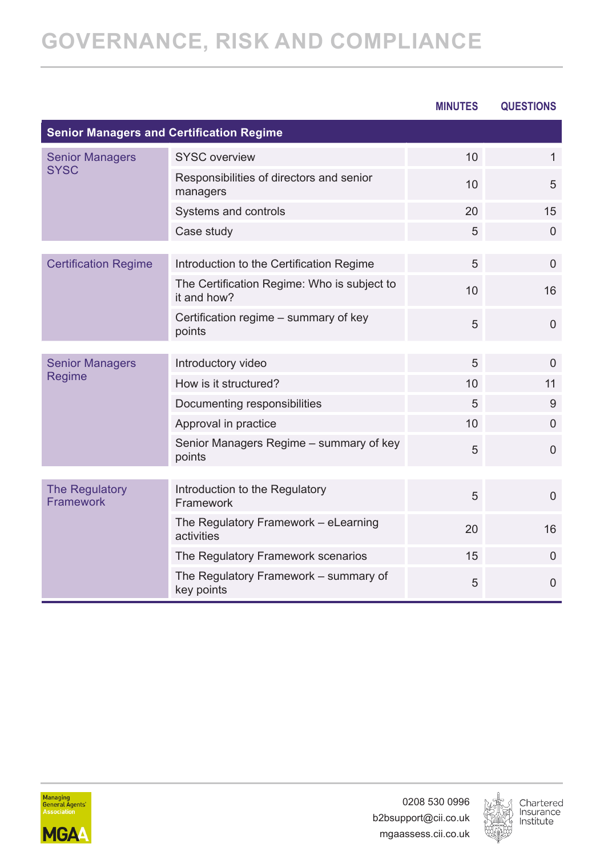## **GOVERNANCE, RISK AND COMPLIANCE**

|                                                 |                                                            | <b>MINUTES</b> | <b>QUESTIONS</b> |
|-------------------------------------------------|------------------------------------------------------------|----------------|------------------|
| <b>Senior Managers and Certification Regime</b> |                                                            |                |                  |
| <b>Senior Managers</b>                          | SYSC overview                                              | 10             | $\mathbf{1}$     |
| <b>SYSC</b>                                     | Responsibilities of directors and senior<br>managers       | 10             | 5                |
|                                                 | Systems and controls                                       | 20             | 15               |
|                                                 | Case study                                                 | 5              | $\Omega$         |
| <b>Certification Regime</b>                     | Introduction to the Certification Regime                   | 5              | $\Omega$         |
|                                                 | The Certification Regime: Who is subject to<br>it and how? | 10             | 16               |
|                                                 | Certification regime - summary of key<br>points            | 5              | $\Omega$         |
| <b>Senior Managers</b>                          | Introductory video                                         | 5              | $\Omega$         |
| Regime                                          | How is it structured?                                      | 10             | 11               |
|                                                 | Documenting responsibilities                               | 5              | 9                |
|                                                 | Approval in practice                                       | 10             | $\Omega$         |
|                                                 | Senior Managers Regime - summary of key<br>points          | 5              | $\overline{0}$   |
|                                                 |                                                            |                |                  |
| <b>The Regulatory</b><br>Framework              | Introduction to the Regulatory<br>Framework                | 5              | $\Omega$         |
|                                                 | The Regulatory Framework - eLearning<br>activities         | 20             | 16               |
|                                                 | The Regulatory Framework scenarios                         | 15             | $\Omega$         |
|                                                 | The Regulatory Framework - summary of<br>key points        | 5              | $\overline{0}$   |



0208 530 0996 b2bsupport@cii.co.uk mgaassess.cii.co.uk

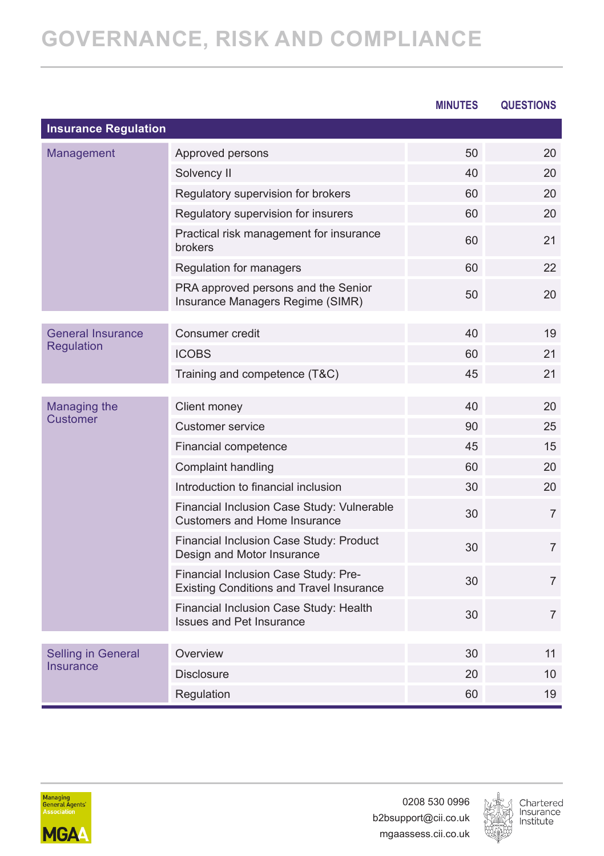## **GOVERNANCE, RISK AND COMPLIANCE**

|                             |                                                                                   | <b>MINUTES</b> | <b>QUESTIONS</b> |
|-----------------------------|-----------------------------------------------------------------------------------|----------------|------------------|
| <b>Insurance Regulation</b> |                                                                                   |                |                  |
| Management                  | Approved persons                                                                  | 50             | 20               |
|                             | Solvency II                                                                       | 40             | 20               |
|                             | Regulatory supervision for brokers                                                | 60             | 20               |
|                             | Regulatory supervision for insurers                                               | 60             | 20               |
|                             | Practical risk management for insurance<br>brokers                                | 60             | 21               |
|                             | Regulation for managers                                                           | 60             | 22               |
|                             | PRA approved persons and the Senior<br>Insurance Managers Regime (SIMR)           | 50             | 20               |
| <b>General Insurance</b>    | Consumer credit                                                                   | 40             | 19               |
| Regulation                  | <b>ICOBS</b>                                                                      | 60             | 21               |
|                             | Training and competence (T&C)                                                     | 45             | 21               |
|                             |                                                                                   |                |                  |
| Managing the<br>Customer    | Client money                                                                      | 40             | 20               |
|                             | Customer service                                                                  | 90             | 25               |
|                             | Financial competence                                                              | 45             | 15               |
|                             | Complaint handling                                                                | 60             | 20               |
|                             | Introduction to financial inclusion                                               | 30             | 20               |
|                             | Financial Inclusion Case Study: Vulnerable<br><b>Customers and Home Insurance</b> | 30             | $\overline{7}$   |
|                             | Financial Inclusion Case Study: Product<br>Design and Motor Insurance             | 30             | $\overline{7}$   |
|                             | Financial Inclusion Case Study: Pre-<br>Existing Conditions and Travel Insurance  | 30             | $\overline{7}$   |
|                             | Financial Inclusion Case Study: Health<br><b>Issues and Pet Insurance</b>         | 30             | $\overline{7}$   |
| <b>Selling in General</b>   | Overview                                                                          | 30             | 11               |
| <b>Insurance</b>            | <b>Disclosure</b>                                                                 | 20             | 10               |
|                             | Regulation                                                                        | 60             | 19               |



0208 530 0996 b2bsupport@cii.co.uk mgaassess.cii.co.uk

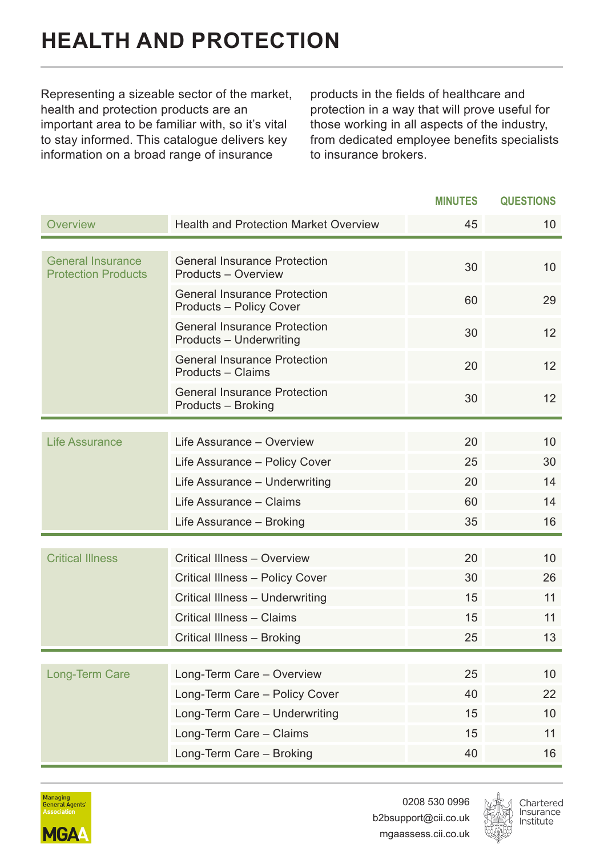## <span id="page-16-0"></span>**HEALTH AND PROTECTION**

Representing a sizeable sector of the market, health and protection products are an important area to be familiar with, so it's vital to stay informed. This catalogue delivers key information on a broad range of insurance

products in the fields of healthcare and protection in a way that will prove useful for those working in all aspects of the industry, from dedicated employee benefits specialists to insurance brokers.

|                                                 |                                                                | <b>MINUTES</b> | <b>QUESTIONS</b> |
|-------------------------------------------------|----------------------------------------------------------------|----------------|------------------|
| Overview                                        | <b>Health and Protection Market Overview</b>                   | 45             | 10               |
|                                                 |                                                                |                |                  |
| General Insurance<br><b>Protection Products</b> | <b>General Insurance Protection</b><br>Products - Overview     | 30             | 10               |
|                                                 | <b>General Insurance Protection</b><br>Products - Policy Cover | 60             | 29               |
|                                                 | <b>General Insurance Protection</b><br>Products - Underwriting | 30             | 12               |
|                                                 | <b>General Insurance Protection</b><br>Products - Claims       | 20             | 12               |
|                                                 | <b>General Insurance Protection</b><br>Products - Broking      | 30             | 12               |
|                                                 |                                                                |                |                  |
| Life Assurance                                  | Life Assurance - Overview                                      | 20             | 10 <sup>1</sup>  |
|                                                 | Life Assurance - Policy Cover                                  | 25             | 30               |
|                                                 | Life Assurance - Underwriting                                  | 20             | 14               |
|                                                 | Life Assurance - Claims                                        | 60             | 14               |
|                                                 | Life Assurance - Broking                                       | 35             | 16               |
|                                                 |                                                                |                |                  |
| <b>Critical Illness</b>                         | Critical Illness - Overview                                    | 20             | 10               |
|                                                 | Critical Illness - Policy Cover                                | 30             | 26               |
|                                                 | Critical Illness - Underwriting                                | 15             | 11               |
|                                                 | Critical Illness - Claims                                      | 15             | 11               |
|                                                 | Critical Illness - Broking                                     | 25             | 13               |
|                                                 |                                                                |                |                  |
| Long-Term Care                                  | Long-Term Care - Overview                                      | 25             | 10 <sup>1</sup>  |
|                                                 | Long-Term Care - Policy Cover                                  | 40             | 22               |
|                                                 | Long-Term Care - Underwriting                                  | 15             | 10               |
|                                                 | Long-Term Care - Claims                                        | 15             | 11               |
|                                                 | Long-Term Care - Broking                                       | 40             | 16               |



0208 530 0996 b2bsupport@cii.co.uk mgaassess.cii.co.uk

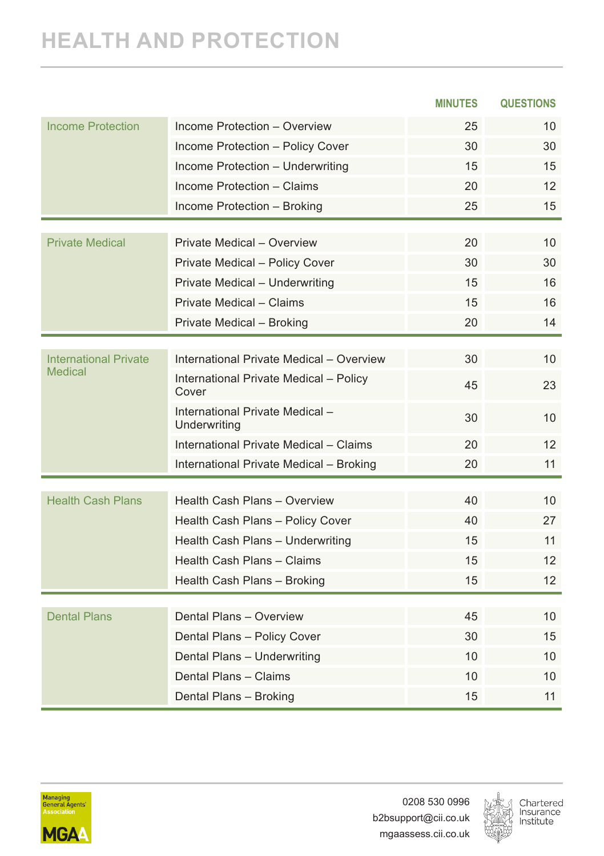### **HEALTH AND PROTECTION**

|                                                |                                                 | <b>MINUTES</b> | <b>QUESTIONS</b>  |
|------------------------------------------------|-------------------------------------------------|----------------|-------------------|
| <b>Income Protection</b>                       | Income Protection - Overview                    | 25             | 10                |
|                                                | Income Protection - Policy Cover                | 30             | 30                |
|                                                | Income Protection - Underwriting                | 15             | 15                |
|                                                | Income Protection - Claims                      | 20             | 12                |
|                                                | Income Protection - Broking                     | 25             | 15                |
|                                                |                                                 |                |                   |
| <b>Private Medical</b>                         | Private Medical - Overview                      | 20             | 10 <sup>1</sup>   |
|                                                | Private Medical - Policy Cover                  | 30             | 30                |
|                                                | Private Medical - Underwriting                  | 15             | 16                |
|                                                | Private Medical - Claims                        | 15             | 16                |
|                                                | Private Medical - Broking                       | 20             | 14                |
|                                                |                                                 |                |                   |
| <b>International Private</b><br><b>Medical</b> | International Private Medical - Overview        | 30             | 10                |
|                                                | International Private Medical - Policy<br>Cover | 45             | 23                |
|                                                | International Private Medical -<br>Underwriting | 30             | 10                |
|                                                | International Private Medical - Claims          | 20             | 12                |
|                                                | International Private Medical - Broking         | 20             | 11                |
|                                                |                                                 |                |                   |
| <b>Health Cash Plans</b>                       | Health Cash Plans - Overview                    | 40             | 10                |
|                                                | Health Cash Plans - Policy Cover                | 40             | 27                |
|                                                | Health Cash Plans - Underwriting                | 15             | 11                |
|                                                | Health Cash Plans - Claims                      | 15             | $12 \overline{ }$ |
|                                                | Health Cash Plans - Broking                     | 15             | $12 \overline{ }$ |
|                                                |                                                 |                |                   |
| <b>Dental Plans</b>                            | Dental Plans - Overview                         | 45             | 10                |
|                                                | Dental Plans - Policy Cover                     | 30             | 15                |
|                                                | Dental Plans - Underwriting                     | 10             | 10                |
|                                                | Dental Plans - Claims                           | 10             | 10                |
|                                                | Dental Plans - Broking                          | 15             | 11                |



0208 530 0996 b2bsupport@cii.co.uk mgaassess.cii.co.uk

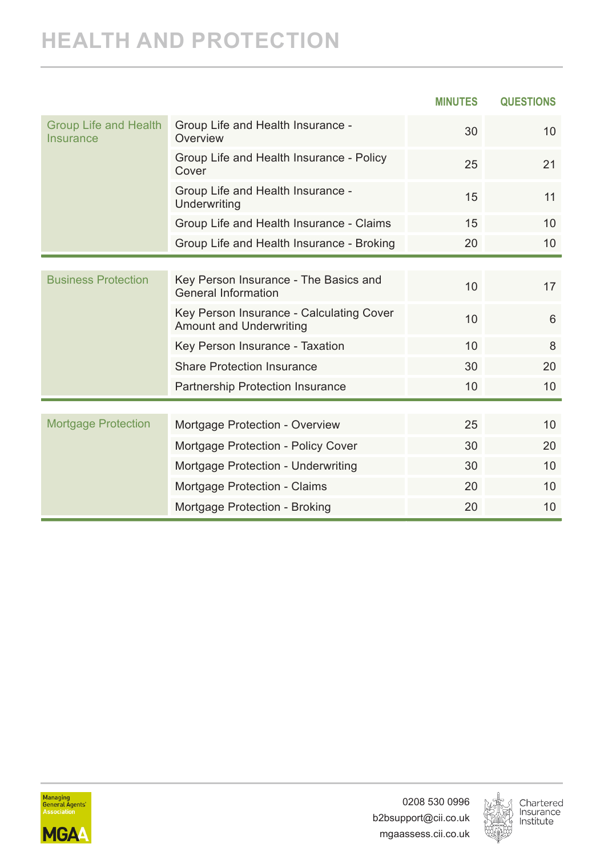#### **HEALTH AND PROTECTION**

|                                           |                                                                            | <b>MINUTES</b> | <b>QUESTIONS</b> |
|-------------------------------------------|----------------------------------------------------------------------------|----------------|------------------|
| <b>Group Life and Health</b><br>Insurance | Group Life and Health Insurance -<br>Overview                              | 30             | 10 <sup>1</sup>  |
|                                           | Group Life and Health Insurance - Policy<br>Cover                          | 25             | 21               |
|                                           | Group Life and Health Insurance -<br>Underwriting                          | 15             | 11               |
|                                           | Group Life and Health Insurance - Claims                                   | 15             | 10 <sup>1</sup>  |
|                                           | Group Life and Health Insurance - Broking                                  | 20             | 10 <sup>°</sup>  |
|                                           |                                                                            |                |                  |
| <b>Business Protection</b>                | Key Person Insurance - The Basics and<br><b>General Information</b>        | 10             | 17               |
|                                           | Key Person Insurance - Calculating Cover<br><b>Amount and Underwriting</b> | 10             | 6                |
|                                           | Key Person Insurance - Taxation                                            | 10             | 8                |
|                                           | <b>Share Protection Insurance</b>                                          | 30             | 20               |
|                                           | Partnership Protection Insurance                                           | 10             | 10               |
|                                           |                                                                            |                |                  |
| <b>Mortgage Protection</b>                | Mortgage Protection - Overview                                             | 25             | 10               |
|                                           | Mortgage Protection - Policy Cover                                         | 30             | 20               |
|                                           | Mortgage Protection - Underwriting                                         | 30             | 10               |
|                                           | Mortgage Protection - Claims                                               | 20             | 10               |
|                                           | Mortgage Protection - Broking                                              | 20             | 10               |



0208 530 0996 b2bsupport@cii.co.uk mgaassess.cii.co.uk

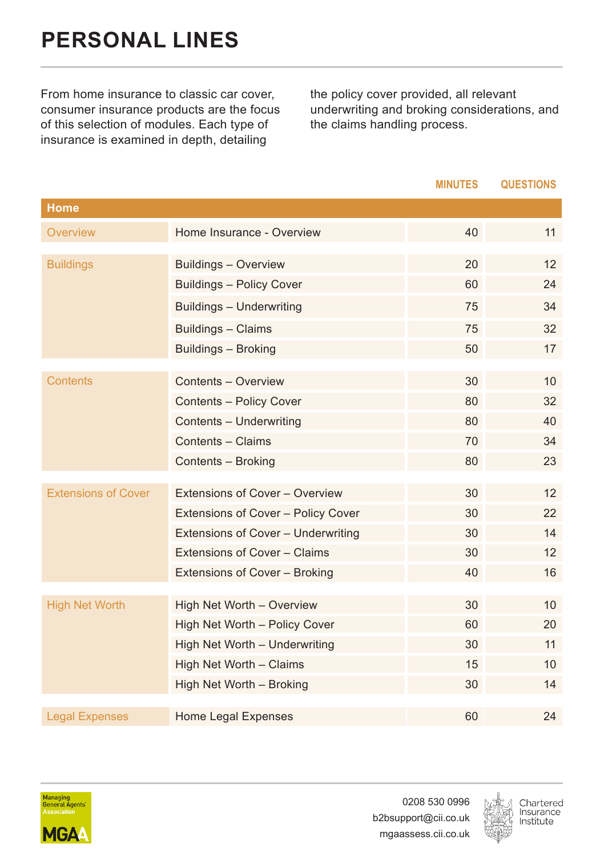<span id="page-19-0"></span>From home insurance to classic car cover, consumer insurance products are the focus of this selection of modules. Each type of insurance is examined in depth, detailing

the policy cover provided, all relevant underwriting and broking considerations, and the claims handling process.

|                            |                                    | <b>MINUTES</b> | <b>QUESTIONS</b> |
|----------------------------|------------------------------------|----------------|------------------|
| Home                       |                                    |                |                  |
| Overview                   | Home Insurance - Overview          | 40             | 11               |
| <b>Buildings</b>           | Buildings - Overview               | 20             | 12               |
|                            | Buildings - Policy Cover           | 60             | 24               |
|                            | Buildings - Underwriting           | 75             | 34               |
|                            | Buildings - Claims                 | 75             | 32               |
|                            | Buildings - Broking                | 50             | 17               |
| <b>Contents</b>            | Contents - Overview                | 30             | 10               |
|                            | Contents - Policy Cover            | 80             | 32               |
|                            | Contents - Underwriting            | 80             | 40               |
|                            | Contents - Claims                  | 70             | 34               |
|                            | Contents - Broking                 | 80             | 23               |
|                            |                                    |                |                  |
| <b>Extensions of Cover</b> | Extensions of Cover - Overview     | 30             | 12               |
|                            | Extensions of Cover - Policy Cover | 30             | 22               |
|                            | Extensions of Cover - Underwriting | 30             | 14               |
|                            | Extensions of Cover - Claims       | 30             | 12               |
|                            | Extensions of Cover - Broking      | 40             | 16               |
|                            |                                    |                |                  |
| <b>High Net Worth</b>      | High Net Worth - Overview          | 30             | 10               |
|                            | High Net Worth - Policy Cover      | 60             | 20               |
|                            | High Net Worth - Underwriting      | 30             | 11               |
|                            | High Net Worth - Claims            | 15             | 10               |
|                            | High Net Worth - Broking           | 30             | 14               |
| <b>Legal Expenses</b>      | Home Legal Expenses                | 60             | 24               |



0208 530 0996 b2bsupport@cii.co.uk mgaassess.cii.co.uk

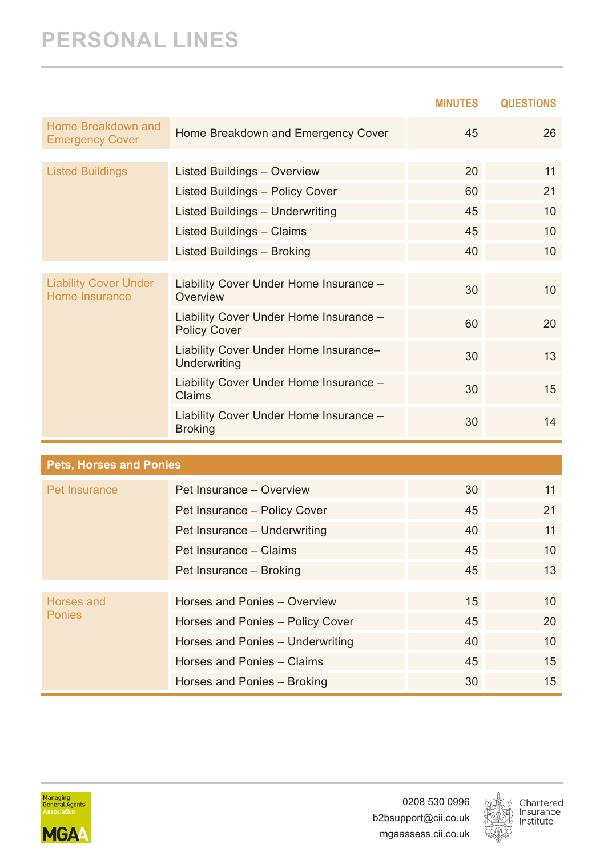#### **PERSONAL LINES**

|                                                |                                                               | <b>MINUTES</b> | <b>QUESTIONS</b> |
|------------------------------------------------|---------------------------------------------------------------|----------------|------------------|
| Home Breakdown and<br><b>Emergency Cover</b>   | Home Breakdown and Emergency Cover                            | 45             | 26               |
|                                                |                                                               |                |                  |
| <b>Listed Buildings</b>                        | Listed Buildings - Overview                                   | 20             | 11               |
|                                                | Listed Buildings - Policy Cover                               | 60             | 21               |
|                                                | Listed Buildings - Underwriting                               | 45             | 10               |
|                                                | Listed Buildings - Claims                                     | 45             | 10               |
|                                                | Listed Buildings - Broking                                    | 40             | 10               |
|                                                |                                                               |                |                  |
| <b>Liability Cover Under</b><br>Home Insurance | Liability Cover Under Home Insurance -<br>Overview            | 30             | 10 <sup>1</sup>  |
|                                                | Liability Cover Under Home Insurance -<br><b>Policy Cover</b> | 60             | 20               |
|                                                | Liability Cover Under Home Insurance-<br>Underwriting         | 30             | 13               |
|                                                | Liability Cover Under Home Insurance -<br>Claims              | 30             | 15               |
|                                                | Liability Cover Under Home Insurance -<br><b>Broking</b>      | 30             | 14               |

| <b>Pets, Horses and Ponies</b> |                                  |    |                 |
|--------------------------------|----------------------------------|----|-----------------|
| Pet Insurance                  | Pet Insurance - Overview         | 30 | 11              |
|                                | Pet Insurance - Policy Cover     | 45 | 21              |
|                                | Pet Insurance - Underwriting     | 40 | 11              |
|                                | Pet Insurance - Claims           | 45 | 10              |
|                                | Pet Insurance - Broking          | 45 | 13              |
|                                |                                  |    |                 |
| Horses and<br><b>Ponies</b>    | Horses and Ponies - Overview     | 15 | 10 <sup>°</sup> |
|                                | Horses and Ponies - Policy Cover | 45 | 20              |
|                                | Horses and Ponies - Underwriting | 40 | 10              |
|                                | Horses and Ponies - Claims       | 45 | 15              |
|                                | Horses and Ponies - Broking      | 30 | 15              |



0208 530 0996 b2bsupport@cii.co.uk mgaassess.cii.co.uk

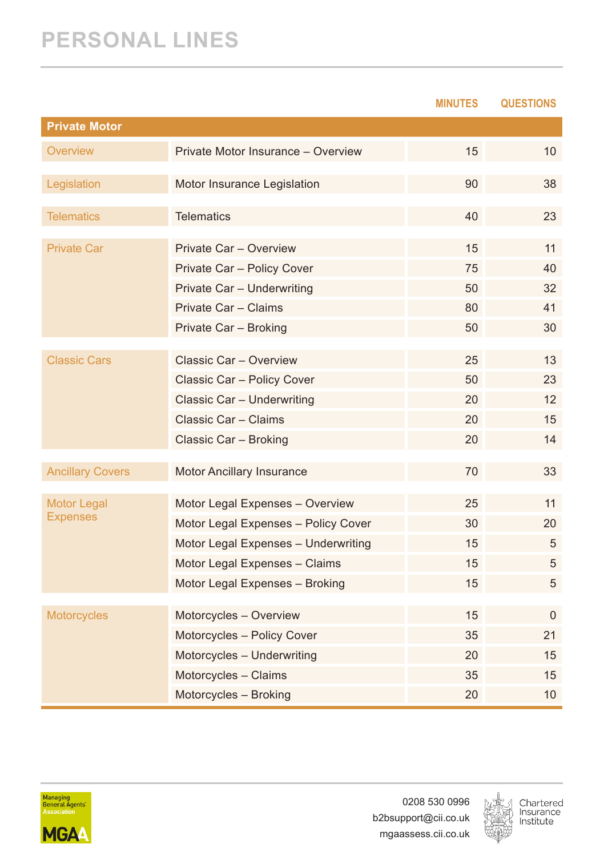#### **PERSONAL LINES**

|                         |                                     | <b>MINUTES</b> | <b>QUESTIONS</b> |
|-------------------------|-------------------------------------|----------------|------------------|
| <b>Private Motor</b>    |                                     |                |                  |
| Overview                | Private Motor Insurance - Overview  | 15             | 10               |
| Legislation             | Motor Insurance Legislation         | 90             | 38               |
| <b>Telematics</b>       | <b>Telematics</b>                   | 40             | 23               |
| <b>Private Car</b>      | Private Car - Overview              | 15             | 11               |
|                         | Private Car - Policy Cover          | 75             | 40               |
|                         | Private Car - Underwriting          | 50             | 32               |
|                         | Private Car - Claims                | 80             | 41               |
|                         | Private Car - Broking               | 50             | 30               |
| Classic Cars            | Classic Car - Overview              | 25             | 13               |
|                         | Classic Car - Policy Cover          | 50             | 23               |
|                         | Classic Car - Underwriting          | 20             | 12               |
|                         | Classic Car - Claims                | 20             | 15               |
|                         | Classic Car - Broking               | 20             | 14               |
|                         |                                     |                |                  |
| <b>Ancillary Covers</b> | Motor Ancillary Insurance           | 70             | 33               |
| Motor Legal             | Motor Legal Expenses - Overview     | 25             | 11               |
| <b>Expenses</b>         | Motor Legal Expenses - Policy Cover | 30             | 20               |
|                         | Motor Legal Expenses - Underwriting | 15             | 5                |
|                         | Motor Legal Expenses - Claims       | 15             | 5                |
|                         | Motor Legal Expenses - Broking      | 15             | 5                |
|                         |                                     |                |                  |
| <b>Motorcycles</b>      | Motorcycles - Overview              | 15             | $\Omega$         |
|                         | Motorcycles - Policy Cover          | 35             | 21               |
|                         | Motorcycles - Underwriting          | 20             | 15               |
|                         | Motorcycles - Claims                | 35             | 15               |
|                         | Motorcycles - Broking               | 20             | 10               |



0208 530 0996 b2bsupport@cii.co.uk mgaassess.cii.co.uk

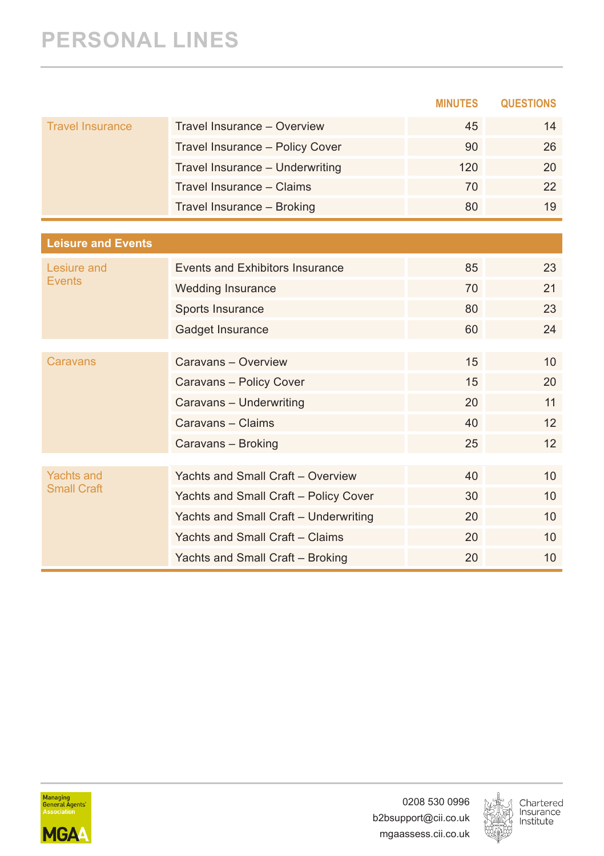#### **PERSONAL LINES**

|                                         |                                       | <b>MINUTES</b> | <b>QUESTIONS</b> |
|-----------------------------------------|---------------------------------------|----------------|------------------|
| <b>Travel Insurance</b>                 | Travel Insurance - Overview           | 45             | 14               |
|                                         | Travel Insurance - Policy Cover       | 90             | 26               |
|                                         | Travel Insurance - Underwriting       | 120            | 20               |
|                                         | Travel Insurance - Claims             | 70             | 22               |
|                                         | Travel Insurance - Broking            | 80             | 19               |
|                                         |                                       |                |                  |
| <b>Leisure and Events</b>               |                                       |                |                  |
| Lesiure and                             | Events and Exhibitors Insurance       | 85             | 23               |
| <b>Events</b>                           | <b>Wedding Insurance</b>              | 70             | 21               |
|                                         | Sports Insurance                      | 80             | 23               |
|                                         | Gadget Insurance                      | 60             | 24               |
|                                         |                                       |                |                  |
| Caravans                                | Caravans - Overview                   | 15             | 10               |
|                                         | Caravans - Policy Cover               | 15             | 20               |
|                                         | Caravans - Underwriting               | 20             | 11               |
|                                         | Caravans - Claims                     | 40             | 12               |
|                                         | Caravans - Broking                    | 25             | 12               |
|                                         |                                       |                |                  |
| <b>Yachts and</b><br><b>Small Craft</b> | Yachts and Small Craft - Overview     | 40             | 10               |
|                                         | Yachts and Small Craft - Policy Cover | 30             | 10               |
|                                         | Yachts and Small Craft - Underwriting | 20             | 10               |
|                                         | Yachts and Small Craft - Claims       | 20             | 10               |
|                                         | Yachts and Small Craft - Broking      | 20             | 10               |



0208 530 0996 b2bsupport@cii.co.uk mgaassess.cii.co.uk

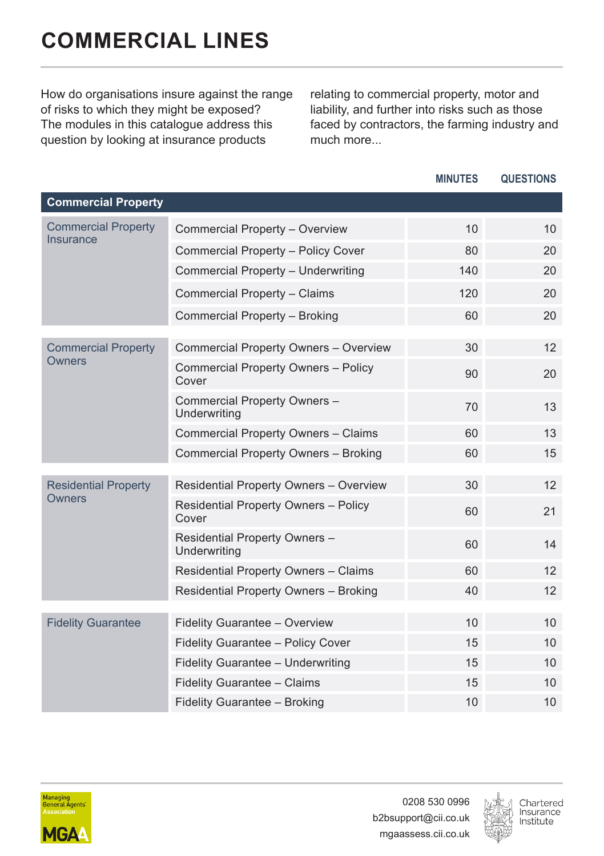<span id="page-23-0"></span>How do organisations insure against the range of risks to which they might be exposed? The modules in this catalogue address this question by looking at insurance products

relating to commercial property, motor and liability, and further into risks such as those faced by contractors, the farming industry and much more...

|                             |                                                      | <b>MINUTES</b> | <b>QUESTIONS</b> |
|-----------------------------|------------------------------------------------------|----------------|------------------|
| <b>Commercial Property</b>  |                                                      |                |                  |
| <b>Commercial Property</b>  | Commercial Property - Overview                       | 10             | 10 <sup>1</sup>  |
| <b>Insurance</b>            | Commercial Property - Policy Cover                   | 80             | 20               |
|                             | Commercial Property - Underwriting                   | 140            | 20               |
|                             | Commercial Property - Claims                         | 120            | 20               |
|                             | Commercial Property - Broking                        | 60             | 20               |
| <b>Commercial Property</b>  | Commercial Property Owners - Overview                | 30             | 12               |
| Owners                      | Commercial Property Owners - Policy<br>Cover         | 90             | 20               |
|                             | Commercial Property Owners -<br>Underwriting         | 70             | 13               |
|                             | Commercial Property Owners - Claims                  | 60             | 13               |
|                             | Commercial Property Owners - Broking                 | 60             | 15               |
| <b>Residential Property</b> | Residential Property Owners - Overview               | 30             | 12               |
| Owners                      | <b>Residential Property Owners - Policy</b><br>Cover | 60             | 21               |
|                             | Residential Property Owners -<br>Underwriting        | 60             | 14               |
|                             | Residential Property Owners - Claims                 | 60             | 12               |
|                             | Residential Property Owners - Broking                | 40             | 12               |
| <b>Fidelity Guarantee</b>   | Fidelity Guarantee - Overview                        | 10             | 10               |
|                             | Fidelity Guarantee - Policy Cover                    | 15             | 10               |
|                             | Fidelity Guarantee - Underwriting                    | 15             | 10               |
|                             | Fidelity Guarantee - Claims                          | 15             | 10               |
|                             | Fidelity Guarantee - Broking                         | 10             | 10               |



0208 530 0996 b2bsupport@cii.co.uk mgaassess.cii.co.uk

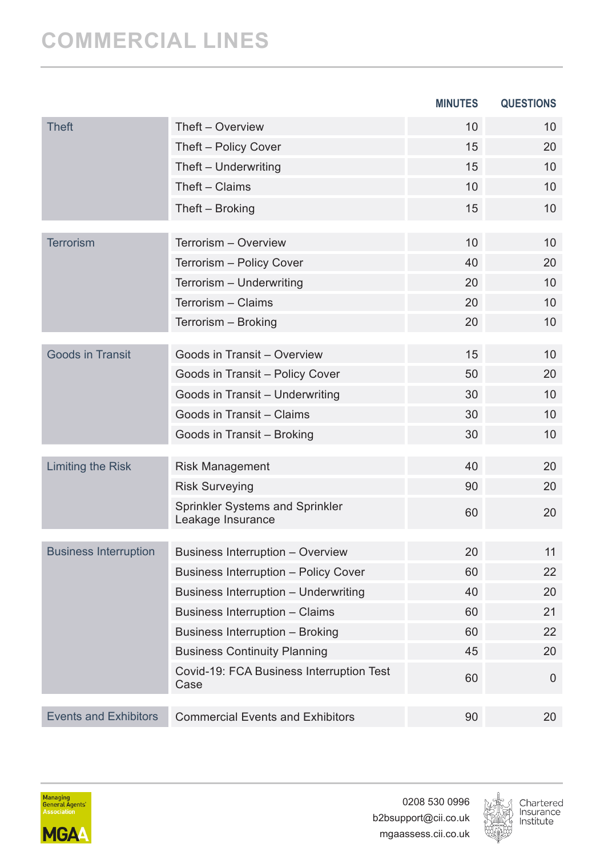|                              |                                                      | <b>MINUTES</b> | <b>QUESTIONS</b> |
|------------------------------|------------------------------------------------------|----------------|------------------|
| <b>Theft</b>                 | Theft - Overview                                     | 10             | 10               |
|                              | Theft - Policy Cover                                 | 15             | 20               |
|                              | Theft - Underwriting                                 | 15             | 10               |
|                              | Theft - Claims                                       | 10             | 10               |
|                              | Theft – Broking                                      | 15             | 10               |
| <b>Terrorism</b>             | Terrorism - Overview                                 | 10             | 10               |
|                              | Terrorism - Policy Cover                             | 40             | 20               |
|                              | Terrorism - Underwriting                             | 20             | 10               |
|                              | Terrorism - Claims                                   | 20             | 10               |
|                              | Terrorism - Broking                                  | 20             | 10               |
| <b>Goods in Transit</b>      | Goods in Transit - Overview                          | 15             | 10               |
|                              | Goods in Transit - Policy Cover                      | 50             | 20               |
|                              | Goods in Transit - Underwriting                      | 30             | 10               |
|                              | Goods in Transit - Claims                            | 30             | 10               |
|                              | Goods in Transit - Broking                           | 30             | 10               |
| Limiting the Risk            | <b>Risk Management</b>                               | 40             | 20               |
|                              | <b>Risk Surveying</b>                                | 90             | 20               |
|                              | Sprinkler Systems and Sprinkler<br>Leakage Insurance | 60             | 20               |
|                              |                                                      |                |                  |
| <b>Business Interruption</b> | Business Interruption - Overview                     | 20             | 11               |
|                              | <b>Business Interruption - Policy Cover</b>          | 60             | 22               |
|                              | Business Interruption - Underwriting                 | 40             | 20               |
|                              | Business Interruption - Claims                       | 60             | 21               |
|                              | Business Interruption - Broking                      | 60             | 22               |
|                              | <b>Business Continuity Planning</b>                  | 45             | 20               |
|                              | Covid-19: FCA Business Interruption Test             | 60             | $\Omega$         |
|                              | Case                                                 |                |                  |



0208 530 0996 b2bsupport@cii.co.uk mgaassess.cii.co.uk

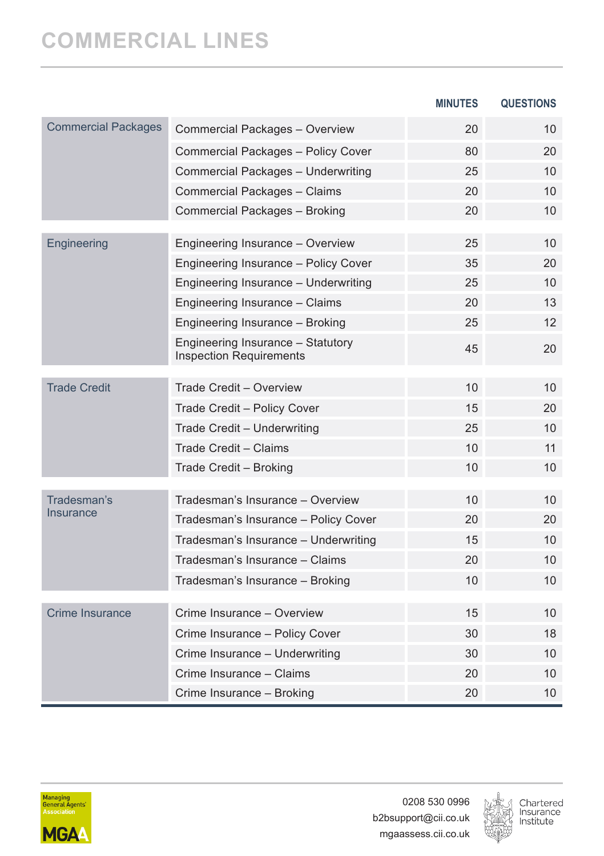|                            |                                                                     | <b>MINUTES</b> | <b>QUESTIONS</b> |
|----------------------------|---------------------------------------------------------------------|----------------|------------------|
| <b>Commercial Packages</b> | Commercial Packages - Overview                                      | 20             | 10               |
|                            | Commercial Packages - Policy Cover                                  | 80             | 20               |
|                            | Commercial Packages - Underwriting                                  | 25             | 10               |
|                            | Commercial Packages - Claims                                        | 20             | 10               |
|                            | Commercial Packages - Broking                                       | 20             | 10               |
| Engineering                | Engineering Insurance - Overview                                    | 25             | 10               |
|                            | Engineering Insurance - Policy Cover                                | 35             | 20               |
|                            | Engineering Insurance - Underwriting                                | 25             | 10               |
|                            | Engineering Insurance - Claims                                      | 20             | 13               |
|                            | Engineering Insurance - Broking                                     | 25             | 12 <sup>2</sup>  |
|                            | Engineering Insurance - Statutory<br><b>Inspection Requirements</b> | 45             | 20               |
| <b>Trade Credit</b>        | Trade Credit - Overview                                             | 10             | 10               |
|                            | Trade Credit - Policy Cover                                         | 15             | 20               |
|                            | Trade Credit - Underwriting                                         | 25             | 10               |
|                            | Trade Credit - Claims                                               | 10             | 11               |
|                            | Trade Credit - Broking                                              | 10             | 10               |
| Tradesman's                | Tradesman's Insurance - Overview                                    | 10             | 10               |
| Insurance                  | Tradesman's Insurance - Policy Cover                                | 20             | 20               |
|                            | Tradesman's Insurance - Underwriting                                | 15             | 10               |
|                            | Tradesman's Insurance - Claims                                      | 20             | 10               |
|                            | Tradesman's Insurance - Broking                                     | 10             | 10               |
| <b>Crime Insurance</b>     | Crime Insurance - Overview                                          | 15             | 10               |
|                            | Crime Insurance - Policy Cover                                      | 30             | 18               |
|                            | Crime Insurance - Underwriting                                      | 30             | 10               |
|                            | Crime Insurance - Claims                                            | 20             | 10               |
|                            | Crime Insurance - Broking                                           | 20             | 10               |



0208 530 0996 b2bsupport@cii.co.uk mgaassess.cii.co.uk

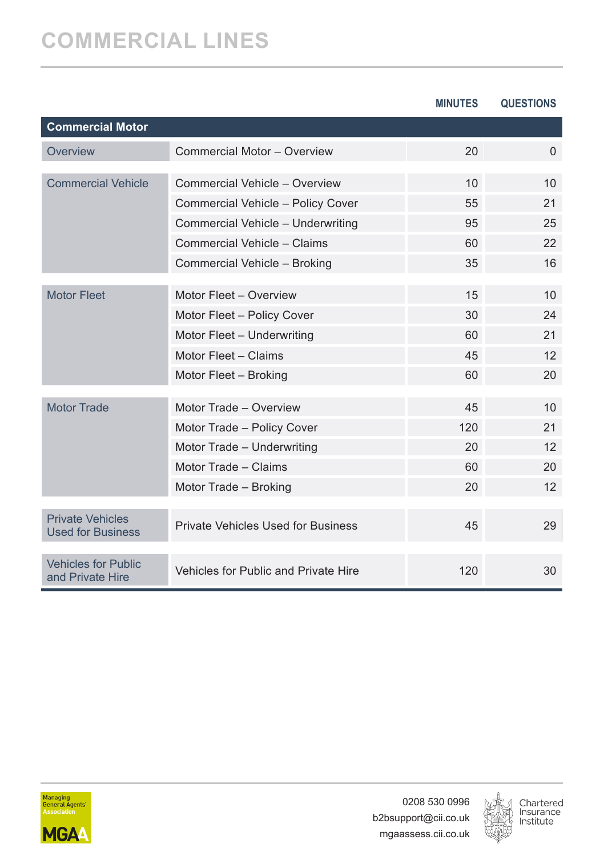|                                                     |                                      | <b>MINUTES</b> | <b>QUESTIONS</b> |
|-----------------------------------------------------|--------------------------------------|----------------|------------------|
| <b>Commercial Motor</b>                             |                                      |                |                  |
| Overview                                            | Commercial Motor - Overview          | 20             | $\Omega$         |
| <b>Commercial Vehicle</b>                           | Commercial Vehicle - Overview        | 10             | 10               |
|                                                     | Commercial Vehicle - Policy Cover    | 55             | 21               |
|                                                     | Commercial Vehicle - Underwriting    | 95             | 25               |
|                                                     | Commercial Vehicle - Claims          | 60             | 22               |
|                                                     | Commercial Vehicle - Broking         | 35             | 16               |
| <b>Motor Fleet</b>                                  | Motor Fleet - Overview               | 15             | 10               |
|                                                     | Motor Fleet - Policy Cover           | 30             | 24               |
|                                                     | Motor Fleet - Underwriting           | 60             | 21               |
|                                                     | Motor Fleet - Claims                 | 45             | 12               |
|                                                     | Motor Fleet - Broking                | 60             | 20               |
|                                                     |                                      |                |                  |
| <b>Motor Trade</b>                                  | Motor Trade - Overview               | 45             | 10 <sup>1</sup>  |
|                                                     | Motor Trade - Policy Cover           | 120            | 21               |
|                                                     | Motor Trade - Underwriting           | 20             | 12               |
|                                                     | Motor Trade - Claims                 | 60             | 20               |
|                                                     | Motor Trade - Broking                | 20             | 12               |
| <b>Private Vehicles</b><br><b>Used for Business</b> | Private Vehicles Used for Business   | 45             | 29               |
| <b>Vehicles for Public</b><br>and Private Hire      | Vehicles for Public and Private Hire | 120            | 30               |



0208 530 0996 b2bsupport@cii.co.uk mgaassess.cii.co.uk

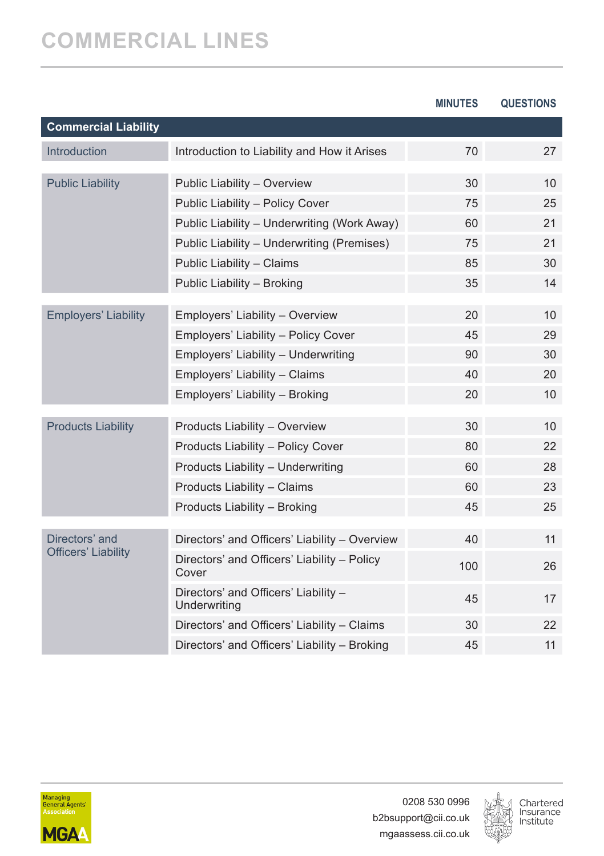|                             |                                                      | <b>MINUTES</b> | <b>QUESTIONS</b> |
|-----------------------------|------------------------------------------------------|----------------|------------------|
| <b>Commercial Liability</b> |                                                      |                |                  |
| <b>Introduction</b>         | Introduction to Liability and How it Arises          | 70             | 27               |
| <b>Public Liability</b>     | Public Liability - Overview                          | 30             | 10               |
|                             | Public Liability - Policy Cover                      | 75             | 25               |
|                             | Public Liability - Underwriting (Work Away)          | 60             | 21               |
|                             | Public Liability - Underwriting (Premises)           | 75             | 21               |
|                             | Public Liability - Claims                            | 85             | 30               |
|                             | Public Liability - Broking                           | 35             | 14               |
| <b>Employers' Liability</b> | Employers' Liability - Overview                      | 20             | 10               |
|                             | Employers' Liability - Policy Cover                  | 45             | 29               |
|                             | Employers' Liability - Underwriting                  | 90             | 30               |
|                             | Employers' Liability - Claims                        | 40             | 20               |
|                             | Employers' Liability - Broking                       | 20             | 10               |
|                             |                                                      |                |                  |
| <b>Products Liability</b>   | Products Liability - Overview                        | 30             | 10               |
|                             | Products Liability - Policy Cover                    | 80             | 22               |
|                             | Products Liability - Underwriting                    | 60             | 28               |
|                             | Products Liability - Claims                          | 60             | 23               |
|                             | Products Liability - Broking                         | 45             | 25               |
| Directors' and              | Directors' and Officers' Liability - Overview        | 40             | 11               |
| <b>Officers' Liability</b>  | Directors' and Officers' Liability - Policy<br>Cover | 100            | 26               |
|                             | Directors' and Officers' Liability -<br>Underwriting | 45             | 17               |
|                             | Directors' and Officers' Liability - Claims          | 30             | 22               |
|                             | Directors' and Officers' Liability - Broking         | 45             | 11               |



0208 530 0996 b2bsupport@cii.co.uk mgaassess.cii.co.uk

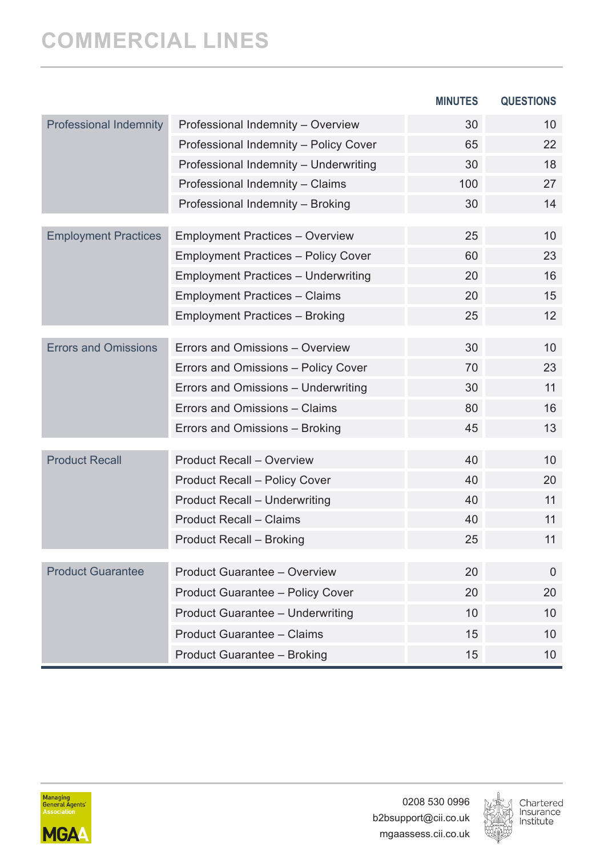|                               |                                                          | <b>MINUTES</b> | <b>QUESTIONS</b> |
|-------------------------------|----------------------------------------------------------|----------------|------------------|
| <b>Professional Indemnity</b> | Professional Indemnity - Overview                        | 30             | 10               |
|                               | Professional Indemnity - Policy Cover                    | 65             | 22               |
|                               | Professional Indemnity - Underwriting                    | 30             | 18               |
|                               | Professional Indemnity - Claims                          | 100            | 27               |
|                               | Professional Indemnity - Broking                         | 30             | 14               |
| <b>Employment Practices</b>   | <b>Employment Practices - Overview</b>                   | 25             | 10               |
|                               | <b>Employment Practices - Policy Cover</b>               | 60             | 23               |
|                               | <b>Employment Practices - Underwriting</b>               | 20             | 16               |
|                               | <b>Employment Practices - Claims</b>                     | 20             | 15               |
|                               | <b>Employment Practices - Broking</b>                    | 25             | 12               |
| <b>Errors and Omissions</b>   | Errors and Omissions - Overview                          | 30             | 10               |
|                               | Errors and Omissions - Policy Cover                      | 70             | 23               |
|                               | Errors and Omissions - Underwriting                      | 30             | 11               |
|                               | Errors and Omissions - Claims                            | 80             | 16               |
|                               | Errors and Omissions - Broking                           | 45             | 13               |
| <b>Product Recall</b>         | Product Recall - Overview                                | 40             | 10               |
|                               |                                                          | 40             | 20               |
|                               | Product Recall - Policy Cover                            | 40             | 11               |
|                               | Product Recall - Underwriting<br>Product Recall - Claims | 40             | 11               |
|                               | Product Recall - Broking                                 | 25             | 11               |
|                               |                                                          |                |                  |
| <b>Product Guarantee</b>      | Product Guarantee - Overview                             | 20             | $\Omega$         |
|                               | Product Guarantee - Policy Cover                         | 20             | 20               |
|                               | Product Guarantee - Underwriting                         | 10             | 10               |
|                               | Product Guarantee - Claims                               | 15             | 10               |
|                               | Product Guarantee - Broking                              | 15             | 10               |



0208 530 0996 b2bsupport@cii.co.uk mgaassess.cii.co.uk

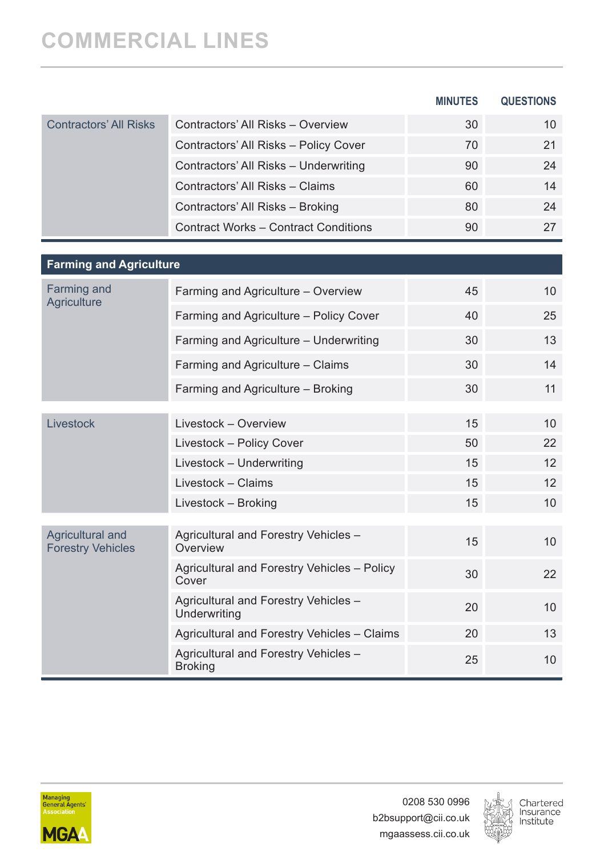|                                              |                                                        | <b>MINUTES</b> | <b>QUESTIONS</b> |
|----------------------------------------------|--------------------------------------------------------|----------------|------------------|
| <b>Contractors' All Risks</b>                | Contractors' All Risks - Overview                      | 30             | 10               |
|                                              | Contractors' All Risks - Policy Cover                  | 70             | 21               |
|                                              | Contractors' All Risks - Underwriting                  | 90             | 24               |
|                                              | Contractors' All Risks - Claims                        | 60             | 14               |
|                                              | Contractors' All Risks - Broking                       | 80             | 24               |
|                                              | <b>Contract Works - Contract Conditions</b>            | 90             | 27               |
|                                              |                                                        |                |                  |
| <b>Farming and Agriculture</b>               |                                                        |                |                  |
| Farming and<br>Agriculture                   | Farming and Agriculture - Overview                     | 45             | 10 <sup>1</sup>  |
|                                              | Farming and Agriculture - Policy Cover                 | 40             | 25               |
|                                              | Farming and Agriculture - Underwriting                 | 30             | 13               |
|                                              | Farming and Agriculture - Claims                       | 30             | 14               |
|                                              | Farming and Agriculture - Broking                      | 30             | 11               |
| Livestock                                    | Livestock - Overview                                   | 15             | 10               |
|                                              | Livestock - Policy Cover                               | 50             | 22               |
|                                              | Livestock - Underwriting                               | 15             | 12               |
|                                              | Livestock - Claims                                     | 15             | 12               |
|                                              | Livestock - Broking                                    | 15             | 10               |
| Agricultural and<br><b>Forestry Vehicles</b> | Agricultural and Forestry Vehicles -<br>Overview       | 15             | 10               |
|                                              | Agricultural and Forestry Vehicles - Policy<br>Cover   | 30             | 22               |
|                                              | Agricultural and Forestry Vehicles -<br>Underwriting   | 20             | 10               |
|                                              | Agricultural and Forestry Vehicles - Claims            | 20             | 13               |
|                                              | Agricultural and Forestry Vehicles -<br><b>Broking</b> | 25             | 10               |



0208 530 0996 b2bsupport@cii.co.uk mgaassess.cii.co.uk

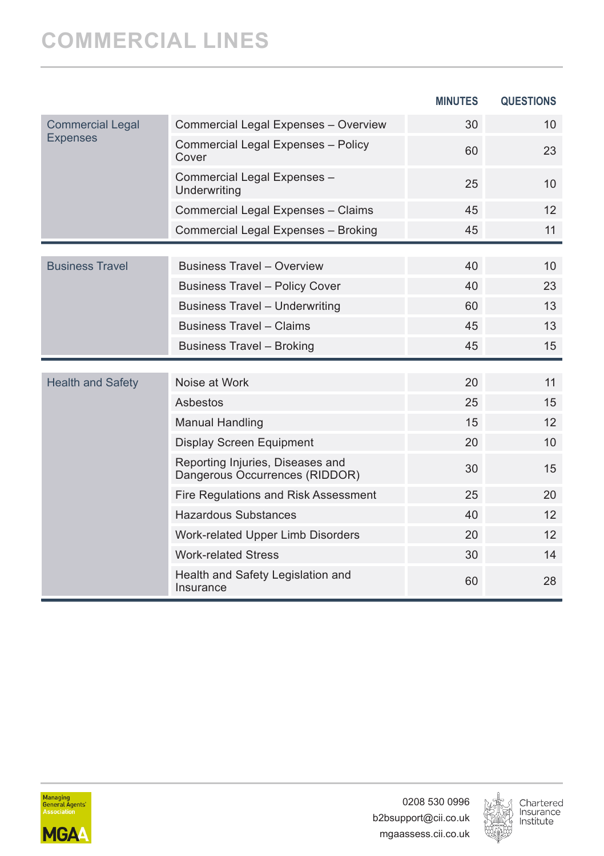|                          |                                                                    | <b>MINUTES</b> | <b>QUESTIONS</b> |
|--------------------------|--------------------------------------------------------------------|----------------|------------------|
| <b>Commercial Legal</b>  | Commercial Legal Expenses - Overview                               | 30             | 10               |
| <b>Expenses</b>          | Commercial Legal Expenses - Policy<br>Cover                        | 60             | 23               |
|                          | Commercial Legal Expenses -<br>Underwriting                        | 25             | 10               |
|                          | Commercial Legal Expenses - Claims                                 | 45             | 12               |
|                          | Commercial Legal Expenses - Broking                                | 45             | 11               |
|                          |                                                                    |                |                  |
| <b>Business Travel</b>   | <b>Business Travel - Overview</b>                                  | 40             | 10               |
|                          | <b>Business Travel - Policy Cover</b>                              | 40             | 23               |
|                          | Business Travel - Underwriting                                     | 60             | 13               |
|                          | <b>Business Travel - Claims</b>                                    | 45             | 13               |
|                          | <b>Business Travel - Broking</b>                                   | 45             | 15               |
|                          |                                                                    |                |                  |
| <b>Health and Safety</b> | Noise at Work                                                      | 20             | 11               |
|                          | Ashestos                                                           | 25             | 15               |
|                          | <b>Manual Handling</b>                                             | 15             | 12               |
|                          | Display Screen Equipment                                           | 20             | 10               |
|                          | Reporting Injuries, Diseases and<br>Dangerous Occurrences (RIDDOR) | 30             | 15               |
|                          | Fire Regulations and Risk Assessment                               | 25             | 20               |
|                          | Hazardous Substances                                               | 40             | 12               |
|                          | Work-related Upper Limb Disorders                                  | 20             | 12               |
|                          | <b>Work-related Stress</b>                                         | 30             | 14               |
|                          | Health and Safety Legislation and<br>Insurance                     | 60             | 28               |



0208 530 0996 b2bsupport@cii.co.uk mgaassess.cii.co.uk

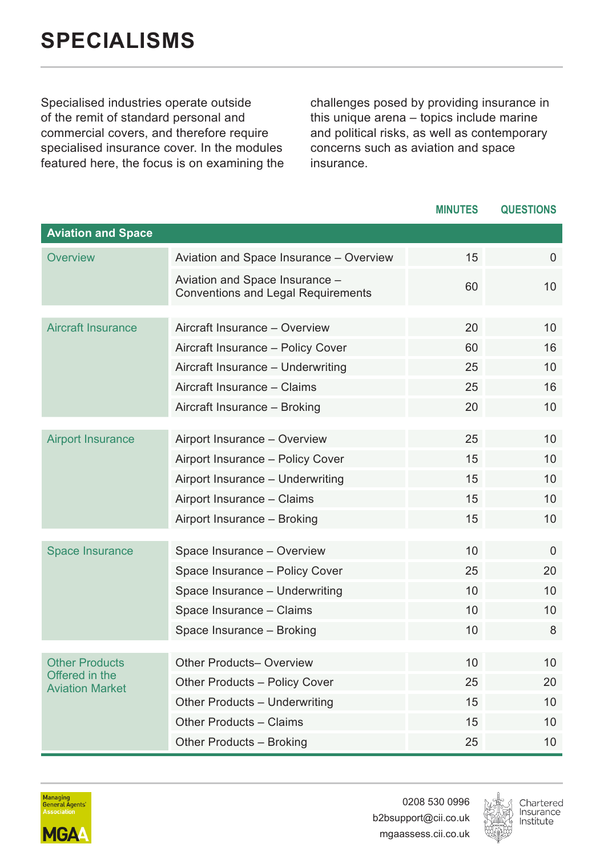<span id="page-31-0"></span>Specialised industries operate outside of the remit of standard personal and commercial covers, and therefore require specialised insurance cover. In the modules featured here, the focus is on examining the

challenges posed by providing insurance in this unique arena – topics include marine and political risks, as well as contemporary concerns such as aviation and space insurance.

|                                          |                                                                             | <b>MINUTES</b> | <b>QUESTIONS</b> |
|------------------------------------------|-----------------------------------------------------------------------------|----------------|------------------|
| <b>Aviation and Space</b>                |                                                                             |                |                  |
| Overview                                 | Aviation and Space Insurance - Overview                                     | 15             | $\Omega$         |
|                                          | Aviation and Space Insurance -<br><b>Conventions and Legal Requirements</b> | 60             | 10               |
| <b>Aircraft Insurance</b>                | Aircraft Insurance - Overview                                               | 20             | 10               |
|                                          |                                                                             |                |                  |
|                                          | Aircraft Insurance - Policy Cover                                           | 60             | 16               |
|                                          | Aircraft Insurance - Underwriting                                           | 25             | 10               |
|                                          | Aircraft Insurance - Claims                                                 | 25             | 16               |
|                                          | Aircraft Insurance - Broking                                                | 20             | 10               |
| <b>Airport Insurance</b>                 | Airport Insurance - Overview                                                | 25             | 10               |
|                                          | Airport Insurance - Policy Cover                                            | 15             | 10               |
|                                          | Airport Insurance - Underwriting                                            | 15             | 10               |
|                                          | Airport Insurance - Claims                                                  | 15             | 10               |
|                                          | Airport Insurance - Broking                                                 | 15             | 10               |
|                                          |                                                                             |                |                  |
| <b>Space Insurance</b>                   | Space Insurance - Overview                                                  | 10             | $\Omega$         |
|                                          | Space Insurance - Policy Cover                                              | 25             | 20               |
|                                          | Space Insurance - Underwriting                                              | 10             | 10               |
|                                          | Space Insurance - Claims                                                    | 10             | 10               |
|                                          | Space Insurance - Broking                                                   | 10             | 8                |
| <b>Other Products</b>                    | Other Products- Overview                                                    | 10             | 10               |
| Offered in the<br><b>Aviation Market</b> | Other Products - Policy Cover                                               | 25             | 20               |
|                                          | Other Products - Underwriting                                               | 15             | 10               |
|                                          | Other Products - Claims                                                     | 15             | 10               |
|                                          | Other Products - Broking                                                    | 25             | 10               |



0208 530 0996 b2bsupport@cii.co.uk mgaassess.cii.co.uk

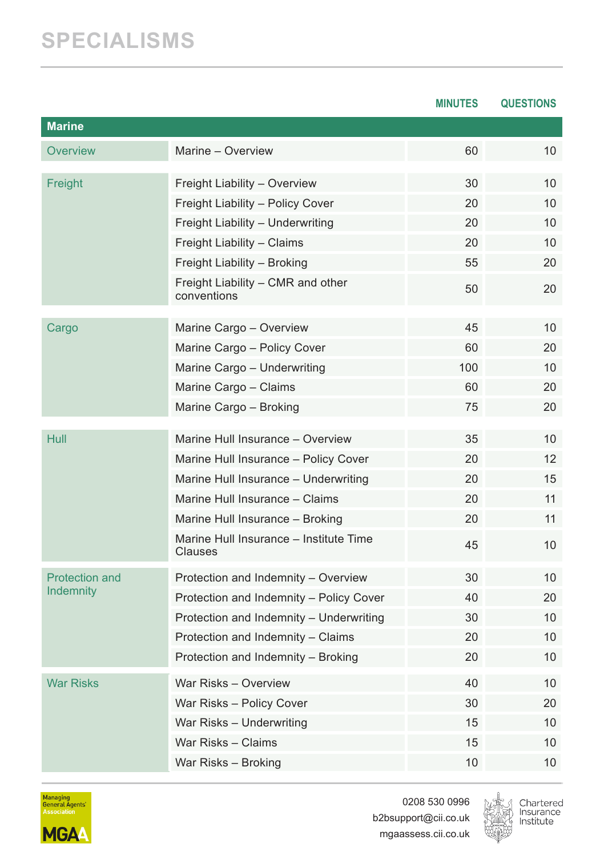### **SPECIALISMS**

|                       |                                                   | <b>MINUTES</b> | QUESTIONS |
|-----------------------|---------------------------------------------------|----------------|-----------|
| <b>Marine</b>         |                                                   |                |           |
| Overview              | Marine - Overview                                 | 60             | 10        |
| Freight               | Freight Liability - Overview                      | 30             | 10        |
|                       | Freight Liability - Policy Cover                  | 20             | 10        |
|                       | Freight Liability - Underwriting                  | 20             | 10        |
|                       | Freight Liability - Claims                        | 20             | 10        |
|                       | Freight Liability - Broking                       | 55             | 20        |
|                       | Freight Liability - CMR and other<br>conventions  | 50             | 20        |
| Cargo                 | Marine Cargo - Overview                           | 45             | 10        |
|                       | Marine Cargo - Policy Cover                       | 60             | 20        |
|                       | Marine Cargo - Underwriting                       | 100            | 10        |
|                       | Marine Cargo - Claims                             | 60             | 20        |
|                       | Marine Cargo - Broking                            | 75             | 20        |
| Hull                  | Marine Hull Insurance - Overview                  | 35             | 10        |
|                       | Marine Hull Insurance - Policy Cover              | 20             | 12        |
|                       | Marine Hull Insurance - Underwriting              | 20             | 15        |
|                       | Marine Hull Insurance - Claims                    | 20             | 11        |
|                       | Marine Hull Insurance - Broking                   | 20             | 11        |
|                       | Marine Hull Insurance - Institute Time<br>Clauses | 45             | 10        |
| <b>Protection and</b> | Protection and Indemnity - Overview               | 30             | 10        |
| <b>Indemnity</b>      | Protection and Indemnity - Policy Cover           | 40             | 20        |
|                       | Protection and Indemnity - Underwriting           | 30             | 10        |
|                       | Protection and Indemnity - Claims                 | 20             | 10        |
|                       | Protection and Indemnity - Broking                | 20             | 10        |
| <b>War Risks</b>      | War Risks - Overview                              | 40             | 10        |
|                       | War Risks - Policy Cover                          | 30             | 20        |
|                       | War Risks - Underwriting                          | 15             | 10        |
|                       | War Risks - Claims                                | 15             | 10        |
|                       | War Risks - Broking                               | 10             | 10        |



0208 530 0996 b2bsupport@cii.co.uk mgaassess.cii.co.uk

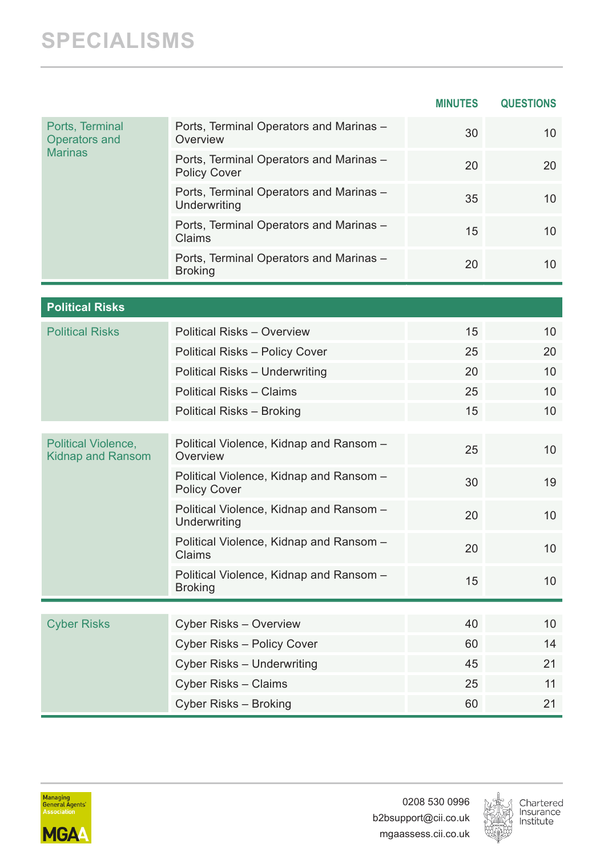#### **SPECIALISMS**

|                                                 |                                                                | <b>MINUTES</b> | <b>QUESTIONS</b> |
|-------------------------------------------------|----------------------------------------------------------------|----------------|------------------|
| Ports, Terminal<br><b>Operators and</b>         | Ports, Terminal Operators and Marinas -<br>Overview            | 30             | 10               |
| <b>Marinas</b>                                  | Ports, Terminal Operators and Marinas -<br>Policy Cover        | 20             | 20               |
|                                                 | Ports, Terminal Operators and Marinas -<br>Underwriting        | 35             | 10               |
|                                                 | Ports, Terminal Operators and Marinas -<br>Claims              | 15             | 10               |
|                                                 | Ports, Terminal Operators and Marinas -<br>Broking             | 20             | 10               |
|                                                 |                                                                |                |                  |
| <b>Political Risks</b>                          |                                                                |                |                  |
| <b>Political Risks</b>                          | Political Risks - Overview                                     | 15             | 10               |
|                                                 | Political Risks - Policy Cover                                 | 25             | 20               |
|                                                 | Political Risks - Underwriting                                 | 20             | 10               |
|                                                 | Political Risks - Claims                                       | 25             | 10               |
|                                                 | Political Risks - Broking                                      | 15             | 10               |
| Political Violence,<br><b>Kidnap and Ransom</b> | Political Violence, Kidnap and Ransom -<br>Overview            | 25             | 10               |
|                                                 | Political Violence, Kidnap and Ransom -<br><b>Policy Cover</b> | 30             | 19               |
|                                                 | Political Violence, Kidnap and Ransom -<br>Underwriting        | 20             | 10               |
|                                                 | Political Violence, Kidnap and Ransom -<br>Claims              | 20             | 10               |
|                                                 | Political Violence, Kidnap and Ransom -<br><b>Broking</b>      | 15             | 10               |
|                                                 |                                                                |                |                  |
| <b>Cyber Risks</b>                              | Cyber Risks - Overview                                         | 40             | 10               |
|                                                 | Cyber Risks - Policy Cover                                     | 60             | 14               |
|                                                 | Cyber Risks - Underwriting                                     | 45             | 21               |
|                                                 | Cyber Risks - Claims                                           | 25             | 11               |
|                                                 | Cyber Risks - Broking                                          | 60             | 21               |



0208 530 0996 b2bsupport@cii.co.uk mgaassess.cii.co.uk

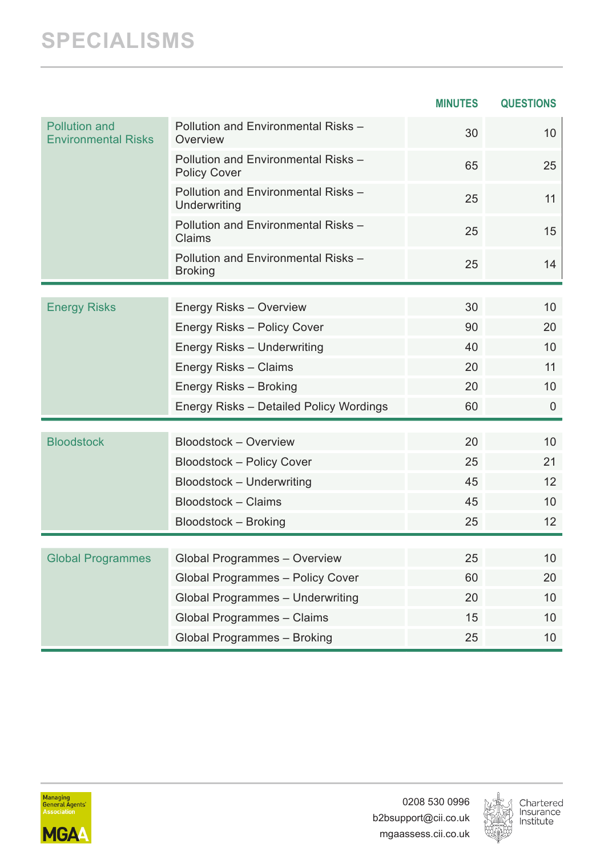### **SPECIALISMS**

|                                                    |                                                            | <b>MINUTES</b> | <b>QUESTIONS</b> |
|----------------------------------------------------|------------------------------------------------------------|----------------|------------------|
| <b>Pollution and</b><br><b>Environmental Risks</b> | Pollution and Environmental Risks -<br>Overview            | 30             | 10 <sup>°</sup>  |
|                                                    | Pollution and Environmental Risks -<br><b>Policy Cover</b> | 65             | 25               |
|                                                    | Pollution and Environmental Risks -<br>Underwriting        | 25             | 11               |
|                                                    | Pollution and Environmental Risks -<br>Claims              | 25             | 15               |
|                                                    | Pollution and Environmental Risks -<br><b>Broking</b>      | 25             | 14               |
|                                                    |                                                            |                |                  |
| <b>Energy Risks</b>                                | Energy Risks - Overview                                    | 30             | 10               |
|                                                    | Energy Risks - Policy Cover                                | 90             | 20               |
|                                                    | Energy Risks - Underwriting                                | 40             | 10               |
|                                                    | Energy Risks - Claims                                      | 20             | 11               |
|                                                    | Energy Risks - Broking                                     | 20             | 10 <sup>°</sup>  |
|                                                    | Energy Risks - Detailed Policy Wordings                    | 60             | $\mathbf{0}$     |
|                                                    |                                                            |                |                  |
| <b>Bloodstock</b>                                  | Bloodstock - Overview                                      | 20             | 10               |
|                                                    | Bloodstock - Policy Cover                                  | 25             | 21               |
|                                                    | Bloodstock - Underwriting                                  | 45             | 12               |
|                                                    | Bloodstock - Claims                                        | 45             | 10               |
|                                                    | Bloodstock - Broking                                       | 25             | 12               |
|                                                    |                                                            |                |                  |
| <b>Global Programmes</b>                           | Global Programmes - Overview                               | 25             | 10               |
|                                                    | Global Programmes - Policy Cover                           | 60             | 20               |
|                                                    | Global Programmes - Underwriting                           | 20             | 10               |
|                                                    | Global Programmes - Claims                                 | 15             | 10               |
|                                                    | Global Programmes - Broking                                | 25             | 10               |



0208 530 0996 b2bsupport@cii.co.uk mgaassess.cii.co.uk

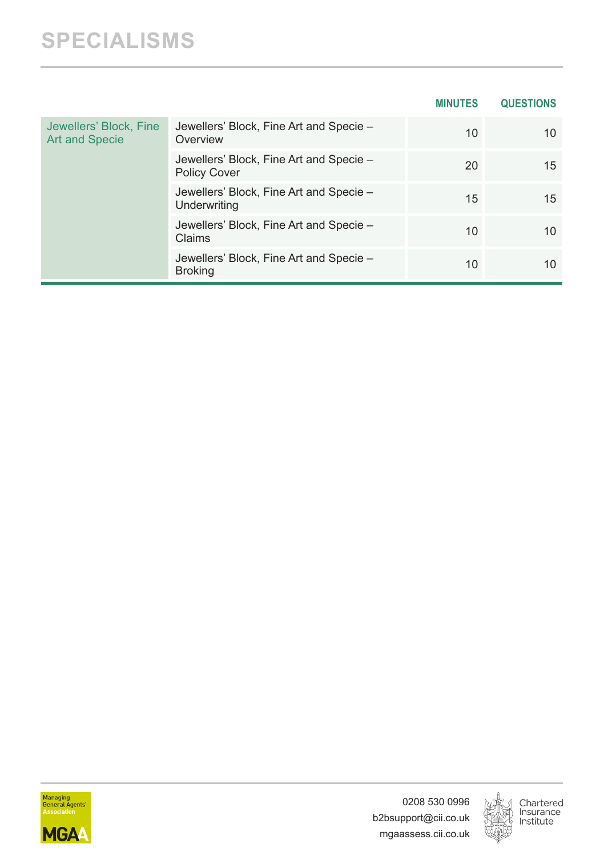|                                                 |                                                                | <b>MINUTES</b> | <b>QUESTIONS</b> |
|-------------------------------------------------|----------------------------------------------------------------|----------------|------------------|
| Jewellers' Block, Fine<br><b>Art and Specie</b> | Jewellers' Block, Fine Art and Specie -<br>Overview            | 10             | 10               |
|                                                 | Jewellers' Block, Fine Art and Specie -<br><b>Policy Cover</b> | 20             | 15               |
|                                                 | Jewellers' Block, Fine Art and Specie -<br>Underwriting        | 15             | 15               |
|                                                 | Jewellers' Block, Fine Art and Specie -<br>Claims              | 10             | 10               |
|                                                 | Jewellers' Block, Fine Art and Specie -<br><b>Broking</b>      | 10             | 10               |



0208 530 0996 b2bsupport@cii.co.uk mgaassess.cii.co.uk

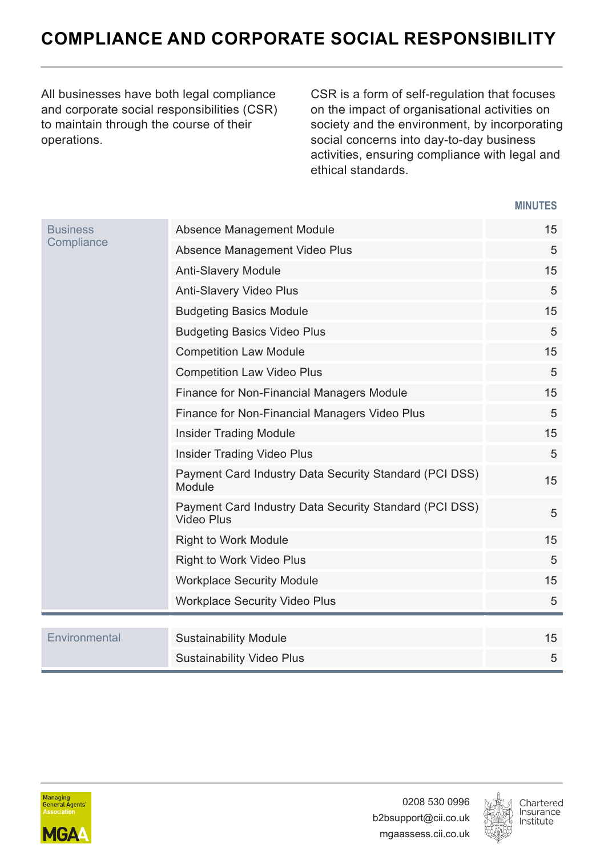#### <span id="page-36-0"></span>**COMPLIANCE AND CORPORATE SOCIAL RESPONSIBILITY**

All businesses have both legal compliance and corporate social responsibilities (CSR) to maintain through the course of their operations.

CSR is a form of self-regulation that focuses on the impact of organisational activities on society and the environment, by incorporating social concerns into day-to-day business activities, ensuring compliance with legal and ethical standards.

| <b>Business</b><br>Compliance | Absence Management Module                                            | 15 |
|-------------------------------|----------------------------------------------------------------------|----|
|                               | Absence Management Video Plus                                        | 5  |
|                               | Anti-Slavery Module                                                  | 15 |
|                               | Anti-Slavery Video Plus                                              | 5  |
|                               | <b>Budgeting Basics Module</b>                                       | 15 |
|                               | <b>Budgeting Basics Video Plus</b>                                   | 5  |
|                               | <b>Competition Law Module</b>                                        | 15 |
|                               | <b>Competition Law Video Plus</b>                                    | 5  |
|                               | Finance for Non-Financial Managers Module                            | 15 |
|                               | Finance for Non-Financial Managers Video Plus                        | 5  |
|                               | <b>Insider Trading Module</b>                                        | 15 |
|                               | Insider Trading Video Plus                                           | 5  |
|                               | Payment Card Industry Data Security Standard (PCI DSS)<br>Module     | 15 |
|                               | Payment Card Industry Data Security Standard (PCI DSS)<br>Video Plus | 5  |
|                               | <b>Right to Work Module</b>                                          | 15 |
|                               | Right to Work Video Plus                                             | 5  |
|                               | <b>Workplace Security Module</b>                                     | 15 |
|                               | <b>Workplace Security Video Plus</b>                                 | 5  |
|                               |                                                                      |    |
| Environmental                 | <b>Sustainability Module</b>                                         | 15 |
|                               | <b>Sustainability Video Plus</b>                                     | 5  |



0208 530 0996 b2bsupport@cii.co.uk mgaassess.cii.co.uk

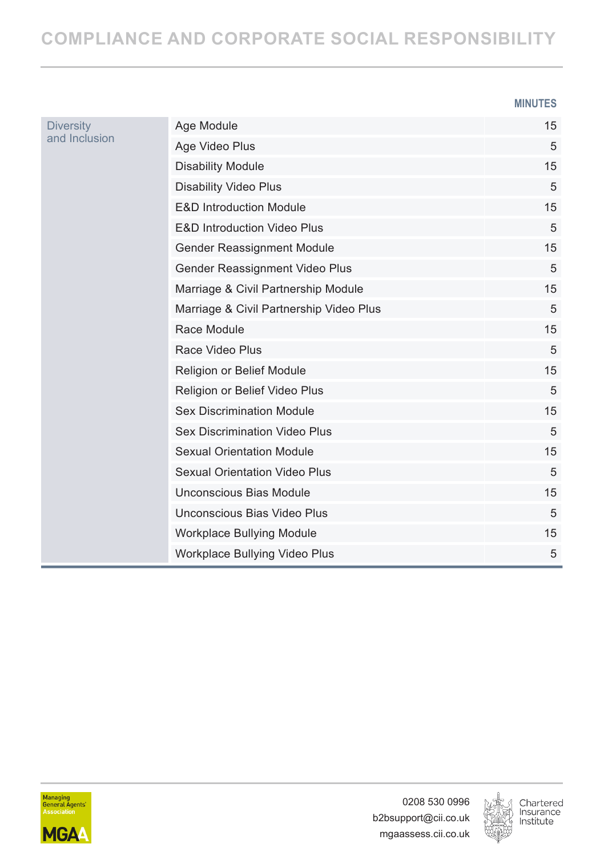#### **COMPLIANCE AND CORPORATE SOCIAL RESPONSIBILITY**

#### **MINUTES**

| <b>Diversity</b><br>and Inclusion | Age Module                              | 15 |
|-----------------------------------|-----------------------------------------|----|
|                                   | Age Video Plus                          | 5  |
|                                   | <b>Disability Module</b>                | 15 |
|                                   | <b>Disability Video Plus</b>            | 5  |
|                                   | <b>E&amp;D Introduction Module</b>      | 15 |
|                                   | <b>E&amp;D Introduction Video Plus</b>  | 5  |
|                                   | Gender Reassignment Module              | 15 |
|                                   | Gender Reassignment Video Plus          | 5  |
|                                   | Marriage & Civil Partnership Module     | 15 |
|                                   | Marriage & Civil Partnership Video Plus | 5  |
|                                   | Race Module                             | 15 |
|                                   | Race Video Plus                         | 5  |
|                                   | Religion or Belief Module               | 15 |
|                                   | Religion or Belief Video Plus           | 5  |
|                                   | <b>Sex Discrimination Module</b>        | 15 |
|                                   | Sex Discrimination Video Plus           | 5  |
|                                   | <b>Sexual Orientation Module</b>        | 15 |
|                                   | <b>Sexual Orientation Video Plus</b>    | 5  |
|                                   | Unconscious Bias Module                 | 15 |
|                                   | Unconscious Bias Video Plus             | 5  |
|                                   | Workplace Bullying Module               | 15 |
|                                   | Workplace Bullying Video Plus           | 5  |



0208 530 0996 b2bsupport@cii.co.uk mgaassess.cii.co.uk

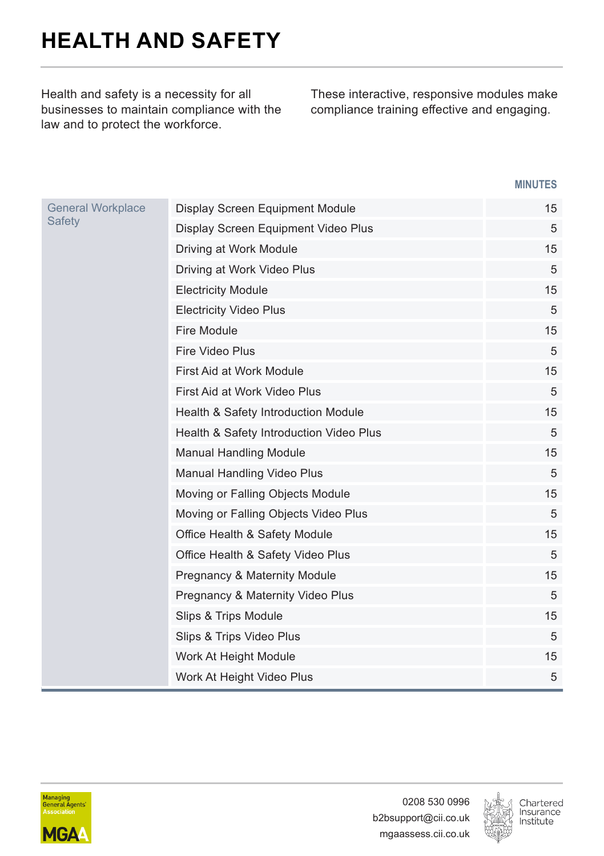# <span id="page-38-0"></span>**HEALTH AND SAFETY**

Health and safety is a necessity for all businesses to maintain compliance with the law and to protect the workforce.

These interactive, responsive modules make compliance training effective and engaging.

| <b>General Workplace</b><br><b>Safety</b> | Display Screen Equipment Module         | 15 |
|-------------------------------------------|-----------------------------------------|----|
|                                           | Display Screen Equipment Video Plus     | 5  |
|                                           | Driving at Work Module                  | 15 |
|                                           | Driving at Work Video Plus              | 5  |
|                                           | <b>Electricity Module</b>               | 15 |
|                                           | <b>Electricity Video Plus</b>           | 5  |
|                                           | Fire Module                             | 15 |
|                                           | Fire Video Plus                         | 5  |
|                                           | First Aid at Work Module                | 15 |
|                                           | First Aid at Work Video Plus            | 5  |
|                                           | Health & Safety Introduction Module     | 15 |
|                                           | Health & Safety Introduction Video Plus | 5  |
|                                           | <b>Manual Handling Module</b>           | 15 |
|                                           | Manual Handling Video Plus              | 5  |
|                                           | Moving or Falling Objects Module        | 15 |
|                                           | Moving or Falling Objects Video Plus    | 5  |
|                                           | Office Health & Safety Module           | 15 |
|                                           | Office Health & Safety Video Plus       | 5  |
|                                           | <b>Pregnancy &amp; Maternity Module</b> | 15 |
|                                           | Pregnancy & Maternity Video Plus        | 5  |
|                                           | Slips & Trips Module                    | 15 |
|                                           | Slips & Trips Video Plus                | 5  |
|                                           | Work At Height Module                   | 15 |
|                                           | Work At Height Video Plus               | 5  |



0208 530 0996 b2bsupport@cii.co.uk mgaassess.cii.co.uk

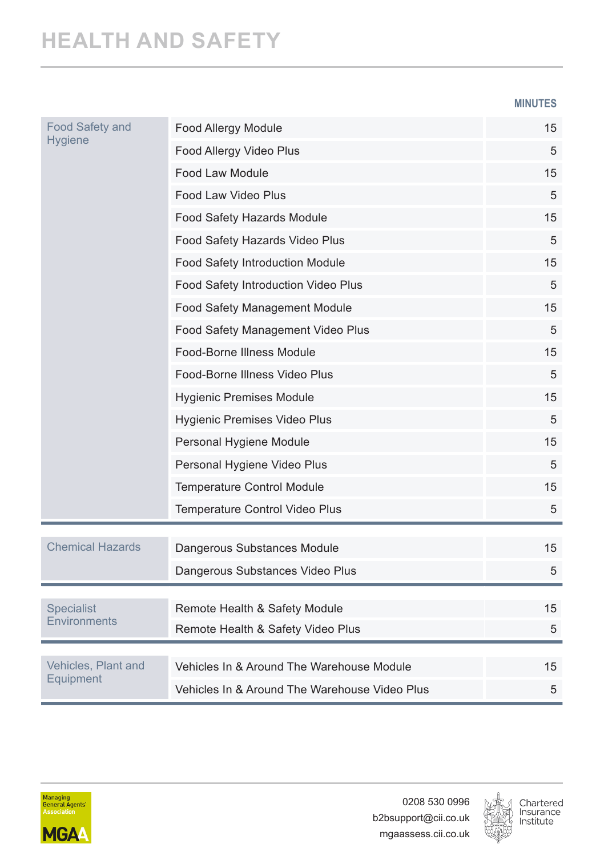#### **HEALTH AND SAFETY**

**MINUTES**

| <b>Food Safety and</b><br><b>Hygiene</b> | Food Allergy Module                           | 15 |
|------------------------------------------|-----------------------------------------------|----|
|                                          | Food Allergy Video Plus                       | 5  |
|                                          | Food Law Module                               | 15 |
|                                          | Food Law Video Plus                           | 5  |
|                                          | Food Safety Hazards Module                    | 15 |
|                                          | Food Safety Hazards Video Plus                | 5  |
|                                          | Food Safety Introduction Module               | 15 |
|                                          | Food Safety Introduction Video Plus           | 5  |
|                                          | Food Safety Management Module                 | 15 |
|                                          | Food Safety Management Video Plus             | 5  |
|                                          | Food-Borne Illness Module                     | 15 |
|                                          | Food-Borne Illness Video Plus                 | 5  |
|                                          | <b>Hygienic Premises Module</b>               | 15 |
|                                          | Hygienic Premises Video Plus                  | 5  |
|                                          | Personal Hygiene Module                       | 15 |
|                                          | Personal Hygiene Video Plus                   | 5  |
|                                          | <b>Temperature Control Module</b>             | 15 |
|                                          | <b>Temperature Control Video Plus</b>         | 5  |
| <b>Chemical Hazards</b>                  |                                               |    |
|                                          | Dangerous Substances Module                   | 15 |
|                                          | Dangerous Substances Video Plus               | 5  |
| <b>Specialist</b>                        | Remote Health & Safety Module                 | 15 |
| Environments                             | Remote Health & Safety Video Plus             | 5  |
|                                          |                                               |    |
| Vehicles, Plant and<br>Equipment         | Vehicles In & Around The Warehouse Module     | 15 |
|                                          | Vehicles In & Around The Warehouse Video Plus | 5  |



0208 530 0996 b2bsupport@cii.co.uk mgaassess.cii.co.uk

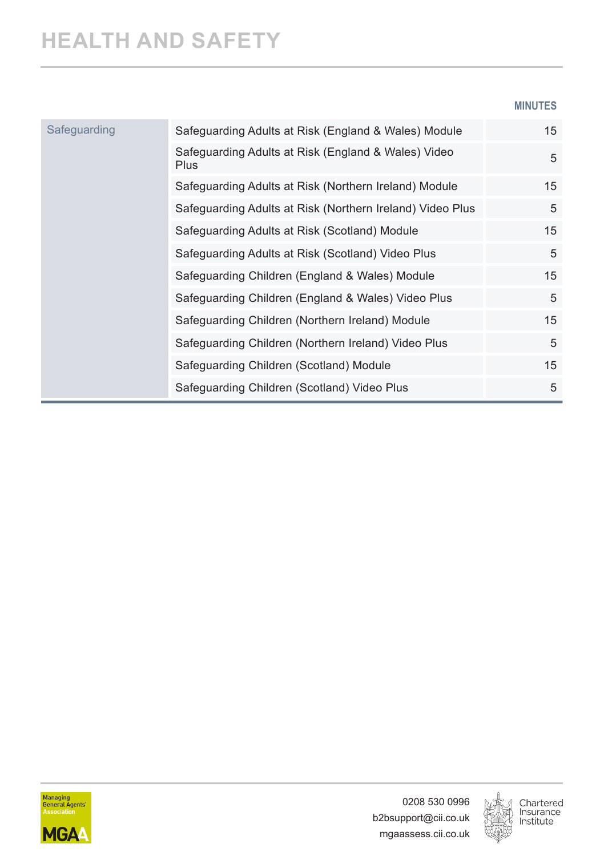#### **MINUTES**

| Safeguarding | Safeguarding Adults at Risk (England & Wales) Module               | 15 |
|--------------|--------------------------------------------------------------------|----|
|              | Safeguarding Adults at Risk (England & Wales) Video<br><b>Plus</b> | 5  |
|              | Safeguarding Adults at Risk (Northern Ireland) Module              | 15 |
|              | Safeguarding Adults at Risk (Northern Ireland) Video Plus          | 5  |
|              | Safeguarding Adults at Risk (Scotland) Module                      | 15 |
|              | Safeguarding Adults at Risk (Scotland) Video Plus                  | 5  |
|              | Safeguarding Children (England & Wales) Module                     | 15 |
|              | Safeguarding Children (England & Wales) Video Plus                 | 5  |
|              | Safeguarding Children (Northern Ireland) Module                    | 15 |
|              | Safeguarding Children (Northern Ireland) Video Plus                | 5  |
|              | Safeguarding Children (Scotland) Module                            | 15 |
|              | Safeguarding Children (Scotland) Video Plus                        | 5  |



0208 530 0996 b2bsupport@cii.co.uk mgaassess.cii.co.uk

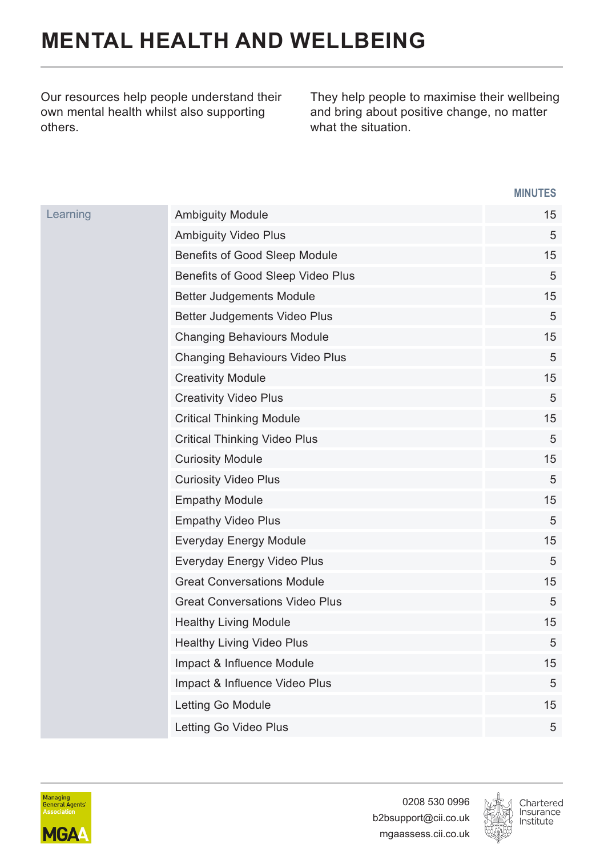## <span id="page-41-0"></span>**MENTAL HEALTH AND WELLBEING**

Our resources help people understand their own mental health whilst also supporting others.

They help people to maximise their wellbeing and bring about positive change, no matter what the situation.

#### **MINUTES**

| Learning | <b>Ambiguity Module</b>               | 15 |
|----------|---------------------------------------|----|
|          | <b>Ambiguity Video Plus</b>           | 5  |
|          | Benefits of Good Sleep Module         | 15 |
|          | Benefits of Good Sleep Video Plus     | 5  |
|          | Better Judgements Module              | 15 |
|          | Better Judgements Video Plus          | 5  |
|          | <b>Changing Behaviours Module</b>     | 15 |
|          | Changing Behaviours Video Plus        | 5  |
|          | <b>Creativity Module</b>              | 15 |
|          | <b>Creativity Video Plus</b>          | 5  |
|          | <b>Critical Thinking Module</b>       | 15 |
|          | Critical Thinking Video Plus          | 5  |
|          | <b>Curiosity Module</b>               | 15 |
|          | <b>Curiosity Video Plus</b>           | 5  |
|          | <b>Empathy Module</b>                 | 15 |
|          | <b>Empathy Video Plus</b>             | 5  |
|          | Everyday Energy Module                | 15 |
|          | Everyday Energy Video Plus            | 5  |
|          | <b>Great Conversations Module</b>     | 15 |
|          | <b>Great Conversations Video Plus</b> | 5  |
|          | <b>Healthy Living Module</b>          | 15 |
|          | Healthy Living Video Plus             | 5  |
|          | Impact & Influence Module             | 15 |
|          | Impact & Influence Video Plus         | 5  |
|          | Letting Go Module                     | 15 |
|          | Letting Go Video Plus                 | 5  |



0208 530 0996 b2bsupport@cii.co.uk mgaassess.cii.co.uk

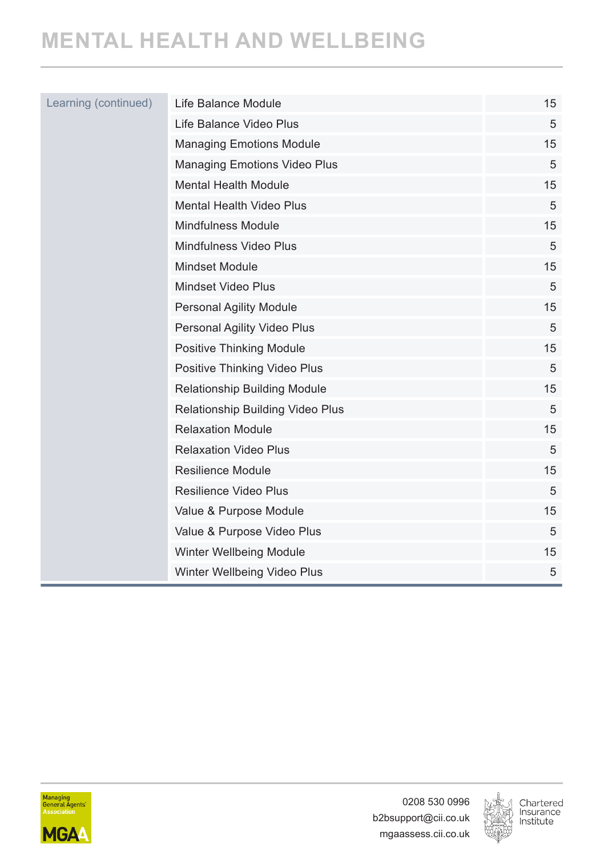## **MENTAL HEALTH AND WELLBEING**

| Learning (continued) | Life Balance Module                 | 15 |
|----------------------|-------------------------------------|----|
|                      | Life Balance Video Plus             | 5  |
|                      | <b>Managing Emotions Module</b>     | 15 |
|                      | <b>Managing Emotions Video Plus</b> | 5  |
|                      | <b>Mental Health Module</b>         | 15 |
|                      | <b>Mental Health Video Plus</b>     | 5  |
|                      | Mindfulness Module                  | 15 |
|                      | Mindfulness Video Plus              | 5  |
|                      | <b>Mindset Module</b>               | 15 |
|                      | <b>Mindset Video Plus</b>           | 5  |
|                      | <b>Personal Agility Module</b>      | 15 |
|                      | Personal Agility Video Plus         | 5  |
|                      | Positive Thinking Module            | 15 |
|                      | Positive Thinking Video Plus        | 5  |
|                      | Relationship Building Module        | 15 |
|                      | Relationship Building Video Plus    | 5  |
|                      | <b>Relaxation Module</b>            | 15 |
|                      | <b>Relaxation Video Plus</b>        | 5  |
|                      | <b>Resilience Module</b>            | 15 |
|                      | Resilience Video Plus               | 5  |
|                      | Value & Purpose Module              | 15 |
|                      | Value & Purpose Video Plus          | 5  |
|                      | Winter Wellbeing Module             | 15 |
|                      | Winter Wellbeing Video Plus         | 5  |



0208 530 0996 b2bsupport@cii.co.uk mgaassess.cii.co.uk

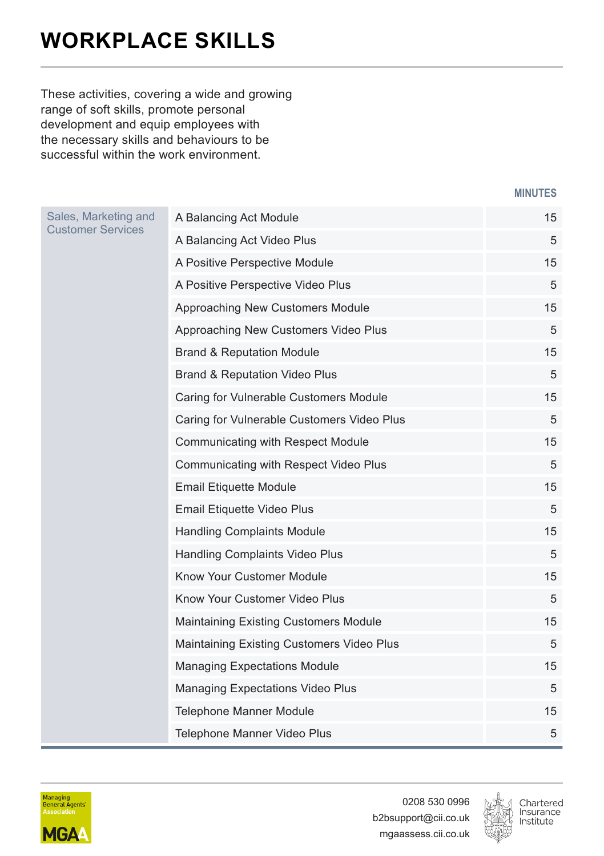## <span id="page-43-0"></span>**WORKPLACE SKILLS**

These activities, covering a wide and growing range of soft skills, promote personal development and equip employees with the necessary skills and behaviours to be successful within the work environment.

**MINUTES**

| Sales, Marketing and<br><b>Customer Services</b> | A Balancing Act Module                     | 15 |
|--------------------------------------------------|--------------------------------------------|----|
|                                                  | A Balancing Act Video Plus                 | 5  |
|                                                  | A Positive Perspective Module              | 15 |
|                                                  | A Positive Perspective Video Plus          | 5  |
|                                                  | Approaching New Customers Module           | 15 |
|                                                  | Approaching New Customers Video Plus       | 5  |
|                                                  | <b>Brand &amp; Reputation Module</b>       | 15 |
|                                                  | <b>Brand &amp; Reputation Video Plus</b>   | 5  |
|                                                  | Caring for Vulnerable Customers Module     | 15 |
|                                                  | Caring for Vulnerable Customers Video Plus | 5  |
|                                                  | Communicating with Respect Module          | 15 |
|                                                  | Communicating with Respect Video Plus      | 5  |
|                                                  | Email Etiquette Module                     | 15 |
|                                                  | Email Etiquette Video Plus                 | 5  |
|                                                  | <b>Handling Complaints Module</b>          | 15 |
|                                                  | Handling Complaints Video Plus             | 5  |
|                                                  | Know Your Customer Module                  | 15 |
|                                                  | Know Your Customer Video Plus              | 5  |
|                                                  | Maintaining Existing Customers Module      | 15 |
|                                                  | Maintaining Existing Customers Video Plus  | 5  |
|                                                  | <b>Managing Expectations Module</b>        | 15 |
|                                                  | Managing Expectations Video Plus           | 5  |
|                                                  | Telephone Manner Module                    | 15 |
|                                                  | Telephone Manner Video Plus                | 5  |



0208 530 0996 b2bsupport@cii.co.uk mgaassess.cii.co.uk

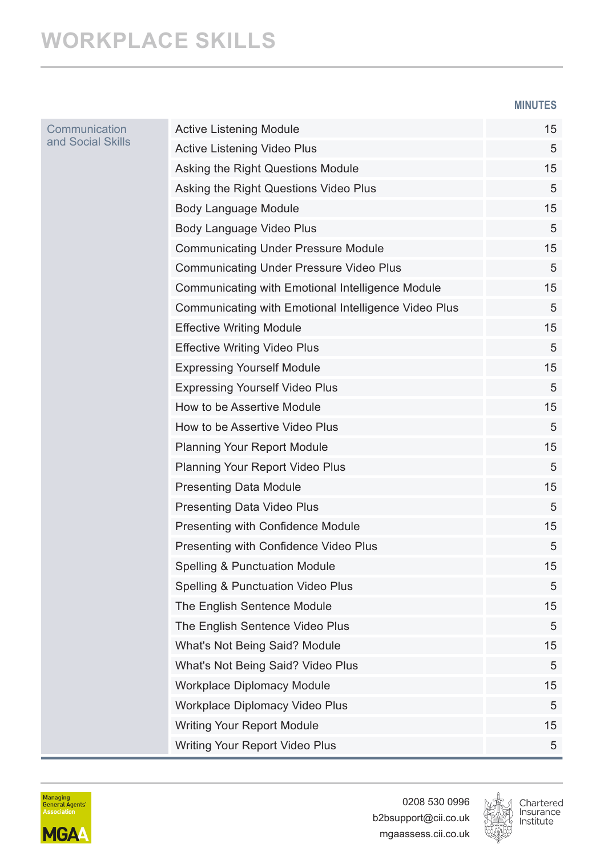#### **MINUTES**

| Communication<br>and Social Skills | <b>Active Listening Module</b>                       | 15 |
|------------------------------------|------------------------------------------------------|----|
|                                    | Active Listening Video Plus                          | 5  |
|                                    | Asking the Right Questions Module                    | 15 |
|                                    | Asking the Right Questions Video Plus                | 5  |
|                                    | Body Language Module                                 | 15 |
|                                    | Body Language Video Plus                             | 5  |
|                                    | <b>Communicating Under Pressure Module</b>           | 15 |
|                                    | <b>Communicating Under Pressure Video Plus</b>       | 5  |
|                                    | Communicating with Emotional Intelligence Module     | 15 |
|                                    | Communicating with Emotional Intelligence Video Plus | 5  |
|                                    | <b>Effective Writing Module</b>                      | 15 |
|                                    | <b>Effective Writing Video Plus</b>                  | 5  |
|                                    | <b>Expressing Yourself Module</b>                    | 15 |
|                                    | <b>Expressing Yourself Video Plus</b>                | 5  |
|                                    | How to be Assertive Module                           | 15 |
|                                    | How to be Assertive Video Plus                       | 5  |
|                                    | <b>Planning Your Report Module</b>                   | 15 |
|                                    | Planning Your Report Video Plus                      | 5  |
|                                    | <b>Presenting Data Module</b>                        | 15 |
|                                    | Presenting Data Video Plus                           | 5  |
|                                    | Presenting with Confidence Module                    | 15 |
|                                    | Presenting with Confidence Video Plus                | 5  |
|                                    | Spelling & Punctuation Module                        | 15 |
|                                    | Spelling & Punctuation Video Plus                    | 5  |
|                                    | The English Sentence Module                          | 15 |
|                                    | The English Sentence Video Plus                      | 5  |
|                                    | What's Not Being Said? Module                        | 15 |
|                                    | What's Not Being Said? Video Plus                    | 5  |
|                                    | Workplace Diplomacy Module                           | 15 |
|                                    | Workplace Diplomacy Video Plus                       | 5  |
|                                    | Writing Your Report Module                           | 15 |
|                                    | Writing Your Report Video Plus                       | 5  |
|                                    |                                                      |    |



0208 530 0996 b2bsupport@cii.co.uk mgaassess.cii.co.uk

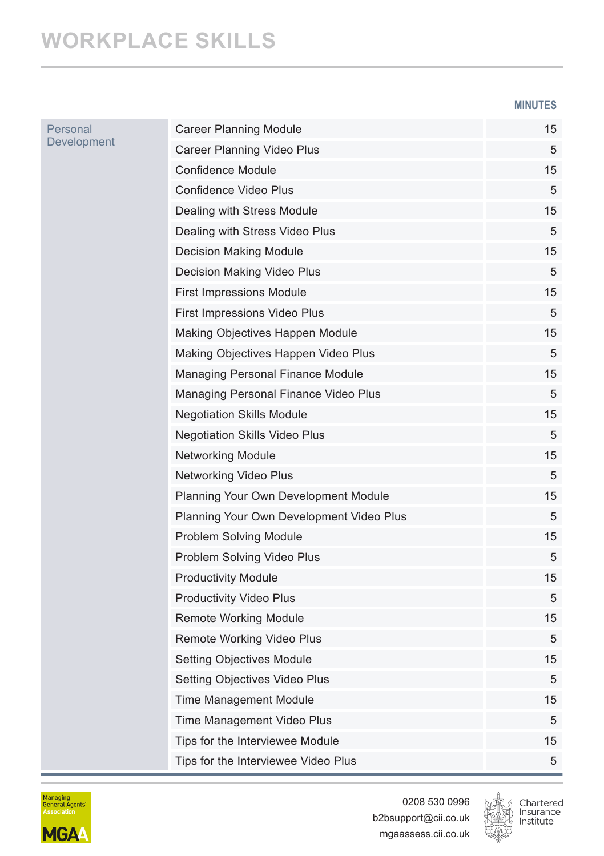#### **WORKPLACE SKILLS**

P<br>D

**MINUTES**

| Personal<br>Development | <b>Career Planning Module</b>            | 15 |
|-------------------------|------------------------------------------|----|
|                         | Career Planning Video Plus               | 5  |
|                         | Confidence Module                        | 15 |
|                         | Confidence Video Plus                    | 5  |
|                         | Dealing with Stress Module               | 15 |
|                         | Dealing with Stress Video Plus           | 5  |
|                         | <b>Decision Making Module</b>            | 15 |
|                         | Decision Making Video Plus               | 5  |
|                         | <b>First Impressions Module</b>          | 15 |
|                         | First Impressions Video Plus             | 5  |
|                         | Making Objectives Happen Module          | 15 |
|                         | Making Objectives Happen Video Plus      | 5  |
|                         | Managing Personal Finance Module         | 15 |
|                         | Managing Personal Finance Video Plus     | 5  |
|                         | <b>Negotiation Skills Module</b>         | 15 |
|                         | Negotiation Skills Video Plus            | 5  |
|                         | <b>Networking Module</b>                 | 15 |
|                         | Networking Video Plus                    | 5  |
|                         | Planning Your Own Development Module     | 15 |
|                         | Planning Your Own Development Video Plus | 5  |
|                         | Problem Solving Module                   | 15 |
|                         | Problem Solving Video Plus               | 5  |
|                         | <b>Productivity Module</b>               | 15 |
|                         | Productivity Video Plus                  | 5  |
|                         | <b>Remote Working Module</b>             | 15 |
|                         | Remote Working Video Plus                | 5  |
|                         | Setting Objectives Module                | 15 |
|                         | Setting Objectives Video Plus            | 5  |
|                         | Time Management Module                   | 15 |
|                         | Time Management Video Plus               | 5  |
|                         | Tips for the Interviewee Module          | 15 |
|                         | Tips for the Interviewee Video Plus      | 5  |



0208 530 0996 b2bsupport@cii.co.uk mgaassess.cii.co.uk

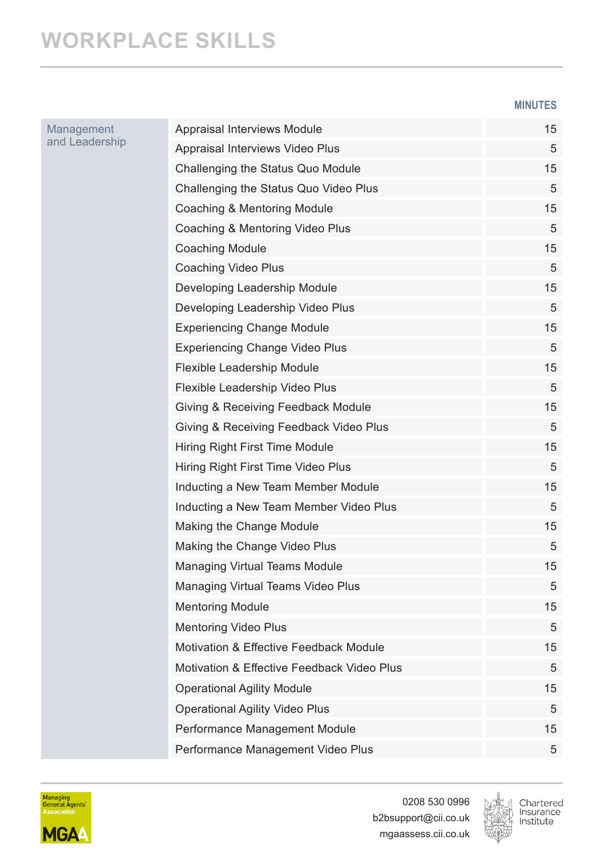#### **WORKPLACE SKILLS**

Management and Leadership **MINUTES**

| Appraisal Interviews Module                | 15 |
|--------------------------------------------|----|
| Appraisal Interviews Video Plus            | 5  |
| Challenging the Status Quo Module          | 15 |
| Challenging the Status Quo Video Plus      | 5  |
| Coaching & Mentoring Module                | 15 |
| Coaching & Mentoring Video Plus            | 5  |
| Coaching Module                            | 15 |
| Coaching Video Plus                        | 5  |
| Developing Leadership Module               | 15 |
| Developing Leadership Video Plus           | 5  |
| Experiencing Change Module                 | 15 |
| <b>Experiencing Change Video Plus</b>      | 5  |
| Flexible Leadership Module                 | 15 |
| Flexible Leadership Video Plus             | 5  |
| Giving & Receiving Feedback Module         | 15 |
| Giving & Receiving Feedback Video Plus     | 5  |
| Hiring Right First Time Module             | 15 |
| Hiring Right First Time Video Plus         | 5  |
| Inducting a New Team Member Module         | 15 |
| Inducting a New Team Member Video Plus     | 5  |
| Making the Change Module                   | 15 |
| Making the Change Video Plus               | 5  |
| Managing Virtual Teams Module              | 15 |
| Managing Virtual Teams Video Plus          | 5  |
| <b>Mentoring Module</b>                    | 15 |
| Mentoring Video Plus                       | 5  |
| Motivation & Effective Feedback Module     | 15 |
| Motivation & Effective Feedback Video Plus | 5  |
| <b>Operational Agility Module</b>          | 15 |
| Operational Agility Video Plus             | 5  |
| Performance Management Module              | 15 |
| Performance Management Video Plus          | 5  |



0208 530 0996 b2bsupport@cii.co.uk mgaassess.cii.co.uk

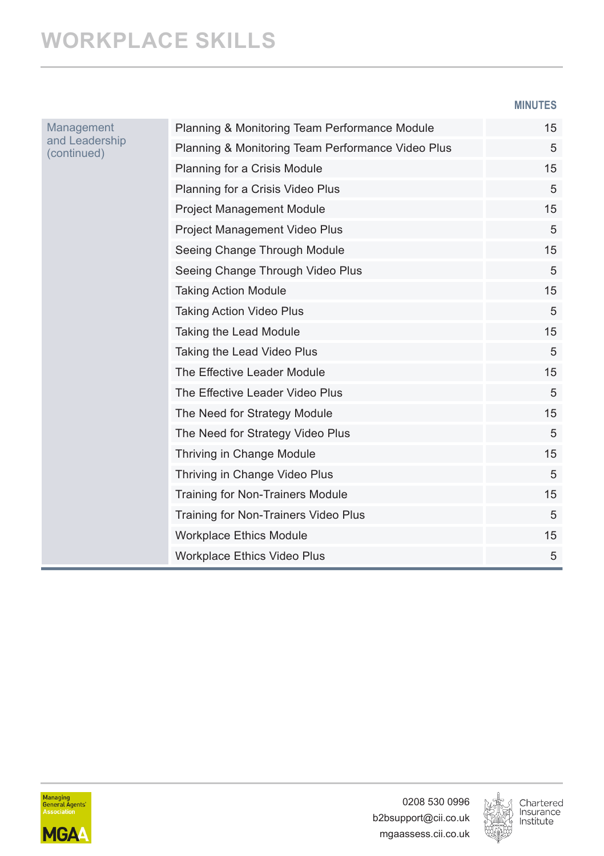**MINUTES**

| Management<br>and Leadership<br>(continued) | Planning & Monitoring Team Performance Module     | 15 |
|---------------------------------------------|---------------------------------------------------|----|
|                                             | Planning & Monitoring Team Performance Video Plus | 5  |
|                                             | Planning for a Crisis Module                      | 15 |
|                                             | Planning for a Crisis Video Plus                  | 5  |
|                                             | <b>Project Management Module</b>                  | 15 |
|                                             | Project Management Video Plus                     | 5  |
|                                             | Seeing Change Through Module                      | 15 |
|                                             | Seeing Change Through Video Plus                  | 5  |
|                                             | <b>Taking Action Module</b>                       | 15 |
|                                             | Taking Action Video Plus                          | 5  |
|                                             | Taking the Lead Module                            | 15 |
|                                             | Taking the Lead Video Plus                        | 5  |
|                                             | The Effective Leader Module                       | 15 |
|                                             | The Effective Leader Video Plus                   | 5  |
|                                             | The Need for Strategy Module                      | 15 |
|                                             | The Need for Strategy Video Plus                  | 5  |
|                                             | Thriving in Change Module                         | 15 |
|                                             | Thriving in Change Video Plus                     | 5  |
|                                             | Training for Non-Trainers Module                  | 15 |
|                                             | Training for Non-Trainers Video Plus              | 5  |
|                                             | Workplace Ethics Module                           | 15 |
|                                             | Workplace Ethics Video Plus                       | 5  |



0208 530 0996 b2bsupport@cii.co.uk mgaassess.cii.co.uk

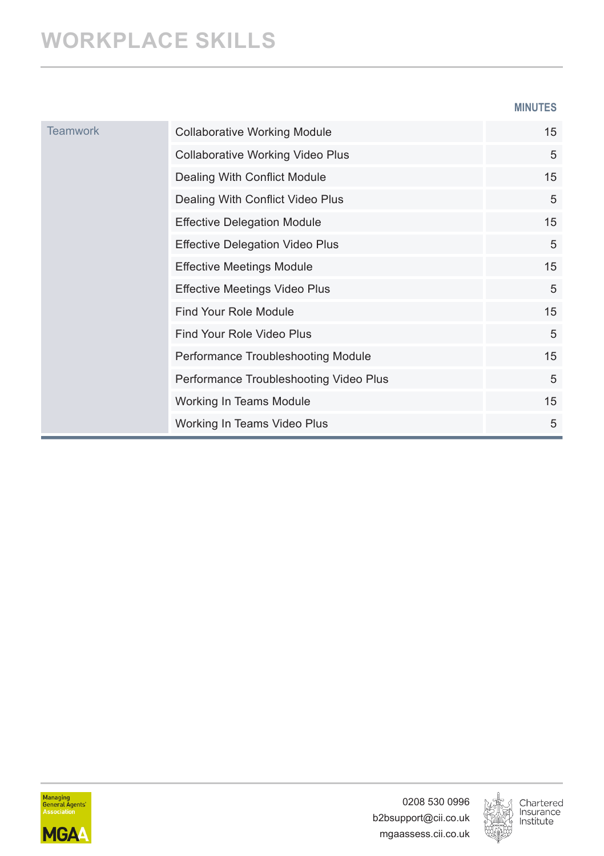### **WORKPLACE SKILLS**

**MINUTES**

| <b>Teamwork</b> | <b>Collaborative Working Module</b>     | 15 |
|-----------------|-----------------------------------------|----|
|                 | <b>Collaborative Working Video Plus</b> | 5  |
|                 | Dealing With Conflict Module            | 15 |
|                 | Dealing With Conflict Video Plus        | 5  |
|                 | <b>Effective Delegation Module</b>      | 15 |
|                 | <b>Effective Delegation Video Plus</b>  | 5  |
|                 | <b>Effective Meetings Module</b>        | 15 |
|                 | <b>Effective Meetings Video Plus</b>    | 5  |
|                 | Find Your Role Module                   | 15 |
|                 | Find Your Role Video Plus               | 5  |
|                 | Performance Troubleshooting Module      | 15 |
|                 | Performance Troubleshooting Video Plus  | 5  |
|                 | Working In Teams Module                 | 15 |
|                 | Working In Teams Video Plus             | 5  |



0208 530 0996 b2bsupport@cii.co.uk mgaassess.cii.co.uk